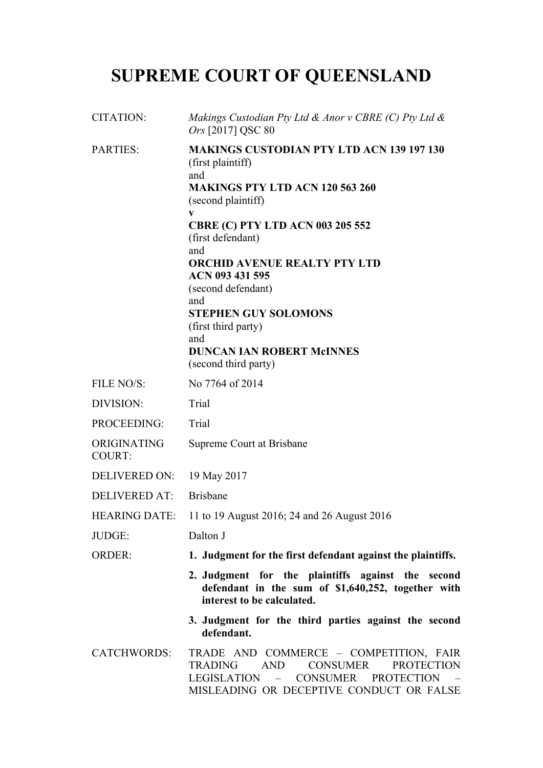# **SUPREME COURT OF QUEENSLAND**

| <b>CITATION:</b>             | Makings Custodian Pty Ltd & Anor v CBRE (C) Pty Ltd &<br>Ors [2017] QSC 80                                                                                                                                                                                                                                                                                                                                                               |
|------------------------------|------------------------------------------------------------------------------------------------------------------------------------------------------------------------------------------------------------------------------------------------------------------------------------------------------------------------------------------------------------------------------------------------------------------------------------------|
| <b>PARTIES:</b>              | <b>MAKINGS CUSTODIAN PTY LTD ACN 139 197 130</b><br>(first plaintiff)<br>and<br><b>MAKINGS PTY LTD ACN 120 563 260</b><br>(second plaintiff)<br>V<br><b>CBRE (C) PTY LTD ACN 003 205 552</b><br>(first defendant)<br>and<br><b>ORCHID AVENUE REALTY PTY LTD</b><br>ACN 093 431 595<br>(second defendant)<br>and<br><b>STEPHEN GUY SOLOMONS</b><br>(first third party)<br>and<br><b>DUNCAN IAN ROBERT McINNES</b><br>(second third party) |
| FILE NO/S:                   | No 7764 of 2014                                                                                                                                                                                                                                                                                                                                                                                                                          |
| DIVISION:                    | Trial                                                                                                                                                                                                                                                                                                                                                                                                                                    |
| PROCEEDING:                  | Trial                                                                                                                                                                                                                                                                                                                                                                                                                                    |
| ORIGINATING<br><b>COURT:</b> | Supreme Court at Brisbane                                                                                                                                                                                                                                                                                                                                                                                                                |
| <b>DELIVERED ON:</b>         | 19 May 2017                                                                                                                                                                                                                                                                                                                                                                                                                              |
| <b>DELIVERED AT:</b>         | <b>Brisbane</b>                                                                                                                                                                                                                                                                                                                                                                                                                          |
| <b>HEARING DATE:</b>         | 11 to 19 August 2016; 24 and 26 August 2016                                                                                                                                                                                                                                                                                                                                                                                              |
| JUDGE:                       | Dalton J                                                                                                                                                                                                                                                                                                                                                                                                                                 |
| <b>ORDER:</b>                | 1. Judgment for the first defendant against the plaintiffs.                                                                                                                                                                                                                                                                                                                                                                              |
|                              | 2. Judgment for the plaintiffs against the second<br>defendant in the sum of \$1,640,252, together with<br>interest to be calculated.                                                                                                                                                                                                                                                                                                    |
|                              | 3. Judgment for the third parties against the second<br>defendant.                                                                                                                                                                                                                                                                                                                                                                       |
| <b>CATCHWORDS:</b>           | TRADE AND COMMERCE - COMPETITION, FAIR<br><b>AND</b><br><b>CONSUMER</b><br><b>TRADING</b><br><b>PROTECTION</b><br><b>CONSUMER</b><br><b>PROTECTION</b><br>LEGISLATION –<br>MISLEADING OR DECEPTIVE CONDUCT OR FALSE                                                                                                                                                                                                                      |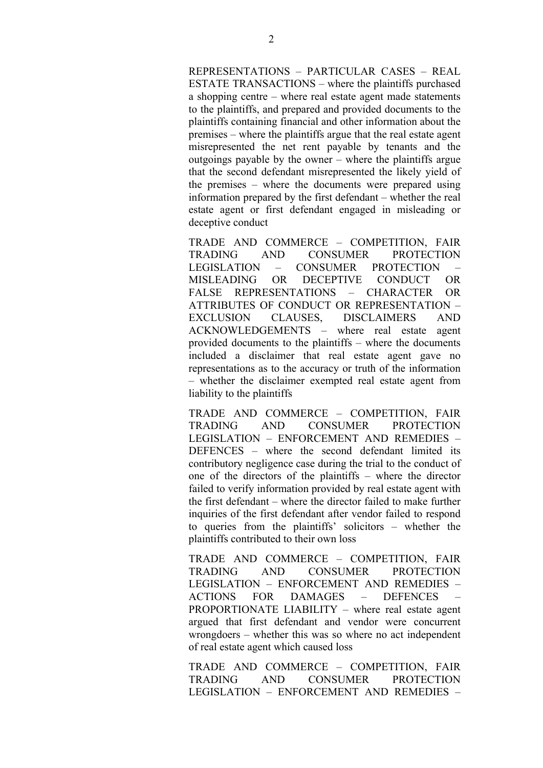REPRESENTATIONS – PARTICULAR CASES – REAL ESTATE TRANSACTIONS – where the plaintiffs purchased a shopping centre – where real estate agent made statements to the plaintiffs, and prepared and provided documents to the plaintiffs containing financial and other information about the premises – where the plaintiffs argue that the real estate agent misrepresented the net rent payable by tenants and the outgoings payable by the owner – where the plaintiffs argue that the second defendant misrepresented the likely yield of the premises – where the documents were prepared using information prepared by the first defendant – whether the real estate agent or first defendant engaged in misleading or deceptive conduct

TRADE AND COMMERCE – COMPETITION, FAIR TRADING AND CONSUMER PROTECTION LEGISLATION – CONSUMER PROTECTION – MISLEADING OR DECEPTIVE CONDUCT OR FALSE REPRESENTATIONS – CHARACTER OR ATTRIBUTES OF CONDUCT OR REPRESENTATION – EXCLUSION CLAUSES, DISCLAIMERS AND ACKNOWLEDGEMENTS – where real estate agent provided documents to the plaintiffs – where the documents included a disclaimer that real estate agent gave no representations as to the accuracy or truth of the information – whether the disclaimer exempted real estate agent from liability to the plaintiffs

TRADE AND COMMERCE – COMPETITION, FAIR TRADING AND CONSUMER PROTECTION LEGISLATION – ENFORCEMENT AND REMEDIES – DEFENCES – where the second defendant limited its contributory negligence case during the trial to the conduct of one of the directors of the plaintiffs – where the director failed to verify information provided by real estate agent with the first defendant – where the director failed to make further inquiries of the first defendant after vendor failed to respond to queries from the plaintiffs' solicitors – whether the plaintiffs contributed to their own loss

TRADE AND COMMERCE – COMPETITION, FAIR TRADING AND CONSUMER PROTECTION LEGISLATION – ENFORCEMENT AND REMEDIES – ACTIONS FOR DAMAGES – DEFENCES – PROPORTIONATE LIABILITY – where real estate agent argued that first defendant and vendor were concurrent wrongdoers – whether this was so where no act independent of real estate agent which caused loss

TRADE AND COMMERCE – COMPETITION, FAIR TRADING AND CONSUMER PROTECTION LEGISLATION – ENFORCEMENT AND REMEDIES –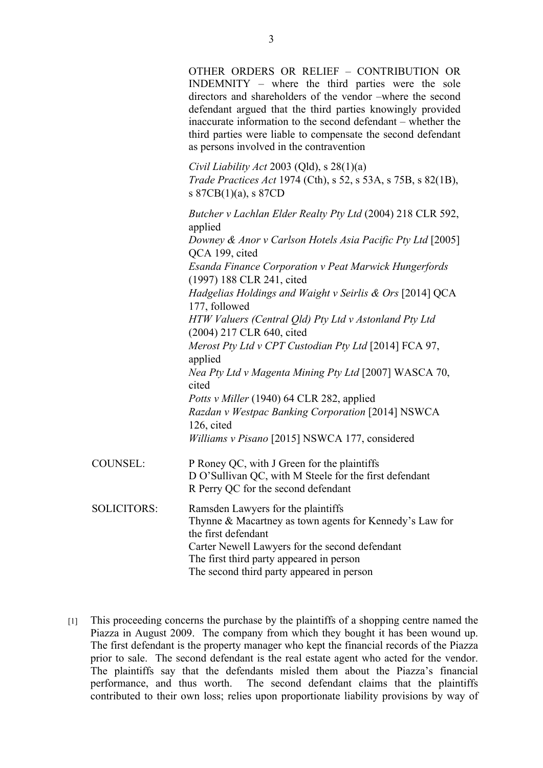OTHER ORDERS OR RELIEF – CONTRIBUTION OR INDEMNITY – where the third parties were the sole directors and shareholders of the vendor –where the second defendant argued that the third parties knowingly provided inaccurate information to the second defendant – whether the third parties were liable to compensate the second defendant as persons involved in the contravention

*Civil Liability Act* 2003 (Qld), s 28(1)(a) *Trade Practices Act* 1974 (Cth), s 52, s 53A, s 75B, s 82(1B), s 87CB(1)(a), s 87CD

*Butcher v Lachlan Elder Realty Pty Ltd* (2004) 218 CLR 592, applied *Downey & Anor v Carlson Hotels Asia Pacific Pty Ltd* [2005] QCA 199, cited *Esanda Finance Corporation v Peat Marwick Hungerfords* (1997) 188 CLR 241, cited *Hadgelias Holdings and Waight v Seirlis & Ors* [2014] QCA 177, followed *HTW Valuers (Central Qld) Pty Ltd v Astonland Pty Ltd* (2004) 217 CLR 640, cited *Merost Pty Ltd v CPT Custodian Pty Ltd* [2014] FCA 97, applied *Nea Pty Ltd v Magenta Mining Pty Ltd* [2007] WASCA 70, cited *Potts v Miller* (1940) 64 CLR 282, applied *Razdan v Westpac Banking Corporation* [2014] NSWCA 126, cited *Williams v Pisano* [2015] NSWCA 177, considered COUNSEL: P Roney QC, with J Green for the plaintiffs D O'Sullivan QC, with M Steele for the first defendant R Perry QC for the second defendant SOLICITORS: Ramsden Lawyers for the plaintiffs Thynne & Macartney as town agents for Kennedy's Law for the first defendant Carter Newell Lawyers for the second defendant The first third party appeared in person The second third party appeared in person

[1] This proceeding concerns the purchase by the plaintiffs of a shopping centre named the Piazza in August 2009. The company from which they bought it has been wound up. The first defendant is the property manager who kept the financial records of the Piazza prior to sale. The second defendant is the real estate agent who acted for the vendor. The plaintiffs say that the defendants misled them about the Piazza's financial performance, and thus worth. The second defendant claims that the plaintiffs contributed to their own loss; relies upon proportionate liability provisions by way of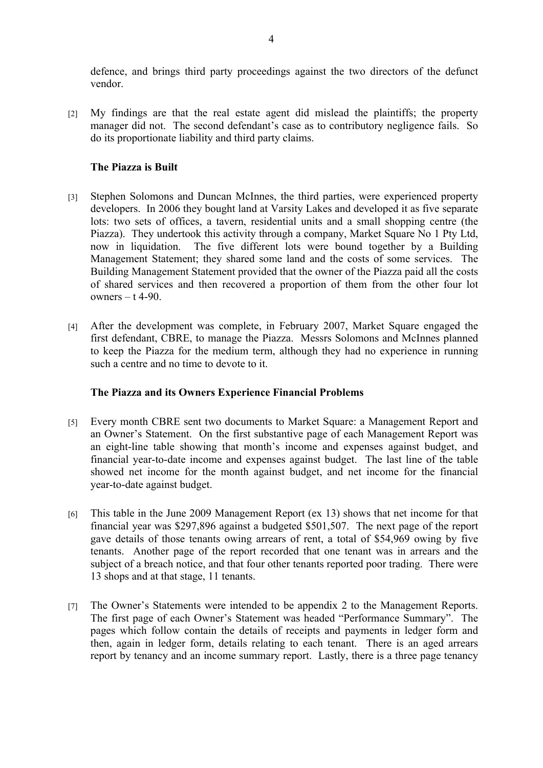defence, and brings third party proceedings against the two directors of the defunct vendor.

[2] My findings are that the real estate agent did mislead the plaintiffs; the property manager did not. The second defendant's case as to contributory negligence fails. So do its proportionate liability and third party claims.

## **The Piazza is Built**

- [3] Stephen Solomons and Duncan McInnes, the third parties, were experienced property developers. In 2006 they bought land at Varsity Lakes and developed it as five separate lots: two sets of offices, a tavern, residential units and a small shopping centre (the Piazza). They undertook this activity through a company, Market Square No 1 Pty Ltd, now in liquidation. The five different lots were bound together by a Building Management Statement; they shared some land and the costs of some services. The Building Management Statement provided that the owner of the Piazza paid all the costs of shared services and then recovered a proportion of them from the other four lot owners  $- t$  4-90.
- [4] After the development was complete, in February 2007, Market Square engaged the first defendant, CBRE, to manage the Piazza. Messrs Solomons and McInnes planned to keep the Piazza for the medium term, although they had no experience in running such a centre and no time to devote to it.

### **The Piazza and its Owners Experience Financial Problems**

- [5] Every month CBRE sent two documents to Market Square: a Management Report and an Owner's Statement. On the first substantive page of each Management Report was an eight-line table showing that month's income and expenses against budget, and financial year-to-date income and expenses against budget. The last line of the table showed net income for the month against budget, and net income for the financial year-to-date against budget.
- [6] This table in the June 2009 Management Report (ex 13) shows that net income for that financial year was \$297,896 against a budgeted \$501,507. The next page of the report gave details of those tenants owing arrears of rent, a total of \$54,969 owing by five tenants. Another page of the report recorded that one tenant was in arrears and the subject of a breach notice, and that four other tenants reported poor trading. There were 13 shops and at that stage, 11 tenants.
- [7] The Owner's Statements were intended to be appendix 2 to the Management Reports. The first page of each Owner's Statement was headed "Performance Summary". The pages which follow contain the details of receipts and payments in ledger form and then, again in ledger form, details relating to each tenant. There is an aged arrears report by tenancy and an income summary report. Lastly, there is a three page tenancy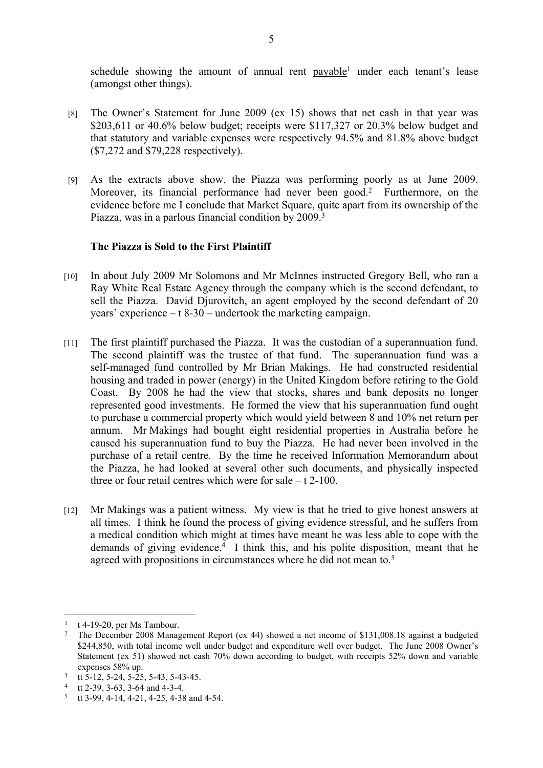schedule showing the amount of annual rent payable<sup>1</sup> under each tenant's lease (amongst other things).

- [8] The Owner's Statement for June 2009 (ex 15) shows that net cash in that year was \$203,611 or 40.6% below budget; receipts were \$117,327 or 20.3% below budget and that statutory and variable expenses were respectively 94.5% and 81.8% above budget (\$7,272 and \$79,228 respectively).
- [9] As the extracts above show, the Piazza was performing poorly as at June 2009. Moreover, its financial performance had never been good.<sup>2</sup> Furthermore, on the evidence before me I conclude that Market Square, quite apart from its ownership of the Piazza, was in a parlous financial condition by 2009.<sup>3</sup>

## **The Piazza is Sold to the First Plaintiff**

- [10] In about July 2009 Mr Solomons and Mr McInnes instructed Gregory Bell, who ran a Ray White Real Estate Agency through the company which is the second defendant, to sell the Piazza. David Djurovitch, an agent employed by the second defendant of 20 years' experience – t 8-30 – undertook the marketing campaign.
- [11] The first plaintiff purchased the Piazza. It was the custodian of a superannuation fund. The second plaintiff was the trustee of that fund. The superannuation fund was a self-managed fund controlled by Mr Brian Makings. He had constructed residential housing and traded in power (energy) in the United Kingdom before retiring to the Gold Coast. By 2008 he had the view that stocks, shares and bank deposits no longer represented good investments. He formed the view that his superannuation fund ought to purchase a commercial property which would yield between 8 and 10% net return per annum. Mr Makings had bought eight residential properties in Australia before he caused his superannuation fund to buy the Piazza. He had never been involved in the purchase of a retail centre. By the time he received Information Memorandum about the Piazza, he had looked at several other such documents, and physically inspected three or four retail centres which were for sale – t 2-100.
- [12] Mr Makings was a patient witness. My view is that he tried to give honest answers at all times. I think he found the process of giving evidence stressful, and he suffers from a medical condition which might at times have meant he was less able to cope with the demands of giving evidence.<sup>4</sup> I think this, and his polite disposition, meant that he agreed with propositions in circumstances where he did not mean to.<sup>5</sup>

 $1$  t 4-19-20, per Ms Tambour.

<sup>2</sup> The December 2008 Management Report (ex 44) showed a net income of \$131,008.18 against a budgeted \$244,850, with total income well under budget and expenditure well over budget. The June 2008 Owner's Statement (ex 51) showed net cash 70% down according to budget, with receipts 52% down and variable expenses 58% up.

<sup>&</sup>lt;sup>3</sup> tt 5-12, 5-24, 5-25, 5-43, 5-43-45.

<sup>4</sup> tt 2-39, 3-63, 3-64 and 4-3-4.

<sup>5</sup> tt 3-99, 4-14, 4-21, 4-25, 4-38 and 4-54.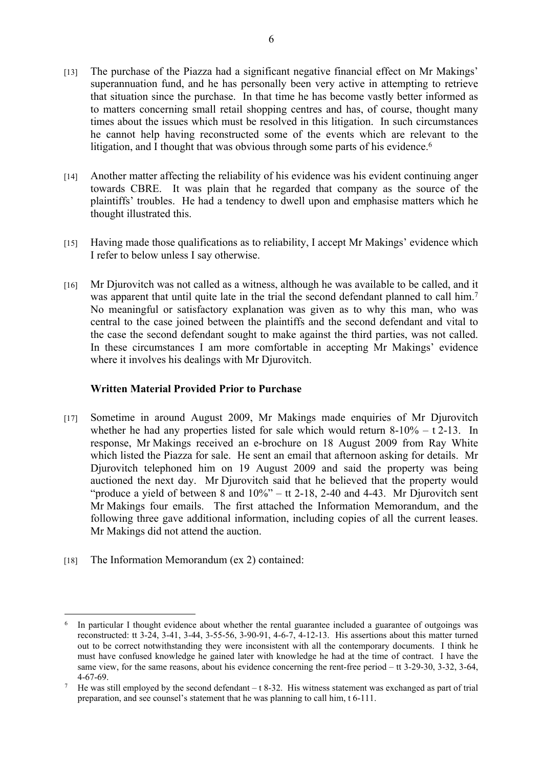- [13] The purchase of the Piazza had a significant negative financial effect on Mr Makings' superannuation fund, and he has personally been very active in attempting to retrieve that situation since the purchase. In that time he has become vastly better informed as to matters concerning small retail shopping centres and has, of course, thought many times about the issues which must be resolved in this litigation. In such circumstances he cannot help having reconstructed some of the events which are relevant to the litigation, and I thought that was obvious through some parts of his evidence.<sup>6</sup>
- [14] Another matter affecting the reliability of his evidence was his evident continuing anger towards CBRE. It was plain that he regarded that company as the source of the plaintiffs' troubles. He had a tendency to dwell upon and emphasise matters which he thought illustrated this.
- [15] Having made those qualifications as to reliability, I accept Mr Makings' evidence which I refer to below unless I say otherwise.
- [16] Mr Djurovitch was not called as a witness, although he was available to be called, and it was apparent that until quite late in the trial the second defendant planned to call him.<sup>7</sup> No meaningful or satisfactory explanation was given as to why this man, who was central to the case joined between the plaintiffs and the second defendant and vital to the case the second defendant sought to make against the third parties, was not called. In these circumstances I am more comfortable in accepting Mr Makings' evidence where it involves his dealings with Mr Djurovitch.

# **Written Material Provided Prior to Purchase**

- [17] Sometime in around August 2009, Mr Makings made enquiries of Mr Djurovitch whether he had any properties listed for sale which would return  $8-10\% - t\ 2-13$ . In response, Mr Makings received an e-brochure on 18 August 2009 from Ray White which listed the Piazza for sale. He sent an email that afternoon asking for details. Mr Djurovitch telephoned him on 19 August 2009 and said the property was being auctioned the next day. Mr Djurovitch said that he believed that the property would "produce a yield of between 8 and  $10\%$ " – tt 2-18, 2-40 and 4-43. Mr Djurovitch sent Mr Makings four emails. The first attached the Information Memorandum, and the following three gave additional information, including copies of all the current leases. Mr Makings did not attend the auction.
- [18] The Information Memorandum (ex 2) contained:

<sup>6</sup> In particular I thought evidence about whether the rental guarantee included a guarantee of outgoings was reconstructed: tt 3-24, 3-41, 3-44, 3-55-56, 3-90-91, 4-6-7, 4-12-13. His assertions about this matter turned out to be correct notwithstanding they were inconsistent with all the contemporary documents. I think he must have confused knowledge he gained later with knowledge he had at the time of contract. I have the same view, for the same reasons, about his evidence concerning the rent-free period – tt 3-29-30, 3-32, 3-64, 4-67-69.

<sup>7</sup> He was still employed by the second defendant  $-$  t 8-32. His witness statement was exchanged as part of trial preparation, and see counsel's statement that he was planning to call him, t 6-111.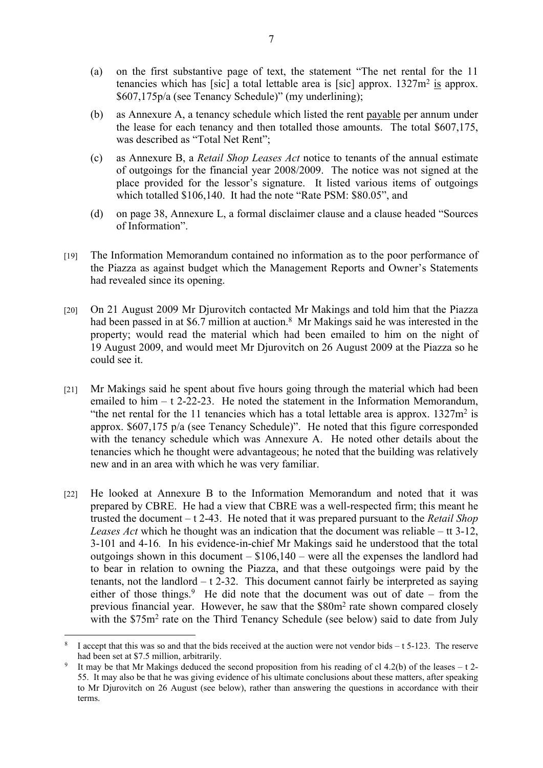- (a) on the first substantive page of text, the statement "The net rental for the 11 tenancies which has [sic] a total lettable area is [sic] approx.  $1327m^2$  is approx. \$607,175p/a (see Tenancy Schedule)" (my underlining);
- (b) as Annexure A, a tenancy schedule which listed the rent payable per annum under the lease for each tenancy and then totalled those amounts. The total \$607,175, was described as "Total Net Rent";
- (c) as Annexure B, a *Retail Shop Leases Act* notice to tenants of the annual estimate of outgoings for the financial year 2008/2009. The notice was not signed at the place provided for the lessor's signature. It listed various items of outgoings which totalled \$106,140. It had the note "Rate PSM: \$80.05", and
- (d) on page 38, Annexure L, a formal disclaimer clause and a clause headed "Sources of Information".
- [19] The Information Memorandum contained no information as to the poor performance of the Piazza as against budget which the Management Reports and Owner's Statements had revealed since its opening.
- [20] On 21 August 2009 Mr Djurovitch contacted Mr Makings and told him that the Piazza had been passed in at \$6.7 million at auction.<sup>8</sup> Mr Makings said he was interested in the property; would read the material which had been emailed to him on the night of 19 August 2009, and would meet Mr Djurovitch on 26 August 2009 at the Piazza so he could see it.
- [21] Mr Makings said he spent about five hours going through the material which had been emailed to  $\lim -t$  2-22-23. He noted the statement in the Information Memorandum, "the net rental for the 11 tenancies which has a total lettable area is approx.  $1327m^2$  is approx. \$607,175 p/a (see Tenancy Schedule)". He noted that this figure corresponded with the tenancy schedule which was Annexure A. He noted other details about the tenancies which he thought were advantageous; he noted that the building was relatively new and in an area with which he was very familiar.
- [22] He looked at Annexure B to the Information Memorandum and noted that it was prepared by CBRE. He had a view that CBRE was a well-respected firm; this meant he trusted the document – t 2-43. He noted that it was prepared pursuant to the *Retail Shop Leases Act* which he thought was an indication that the document was reliable – tt 3-12, 3-101 and 4-16*.* In his evidence-in-chief Mr Makings said he understood that the total outgoings shown in this document  $- $106,140 -$  were all the expenses the landlord had to bear in relation to owning the Piazza, and that these outgoings were paid by the tenants, not the landlord  $- t$  2-32. This document cannot fairly be interpreted as saying either of those things.<sup>9</sup> He did note that the document was out of date – from the previous financial year. However, he saw that the \$80m<sup>2</sup> rate shown compared closely with the \$75m<sup>2</sup> rate on the Third Tenancy Schedule (see below) said to date from July

<sup>8</sup> I accept that this was so and that the bids received at the auction were not vendor bids – t 5-123. The reserve had been set at \$7.5 million, arbitrarily.

<sup>9</sup> It may be that Mr Makings deduced the second proposition from his reading of cl 4.2(b) of the leases  $- t$  2-55. It may also be that he was giving evidence of his ultimate conclusions about these matters, after speaking to Mr Djurovitch on 26 August (see below), rather than answering the questions in accordance with their terms.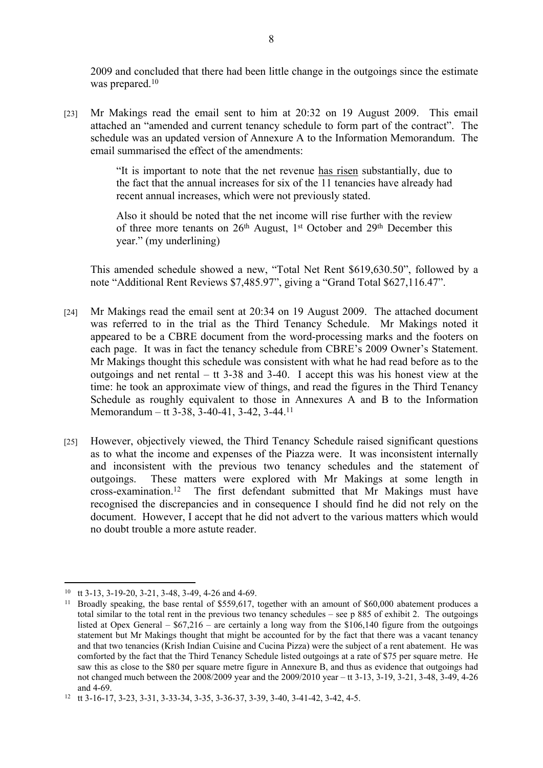2009 and concluded that there had been little change in the outgoings since the estimate was prepared.<sup>10</sup>

[23] Mr Makings read the email sent to him at 20:32 on 19 August 2009. This email attached an "amended and current tenancy schedule to form part of the contract". The schedule was an updated version of Annexure A to the Information Memorandum. The email summarised the effect of the amendments:

> "It is important to note that the net revenue has risen substantially, due to the fact that the annual increases for six of the 11 tenancies have already had recent annual increases, which were not previously stated.

> Also it should be noted that the net income will rise further with the review of three more tenants on 26<sup>th</sup> August, 1<sup>st</sup> October and 29<sup>th</sup> December this year." (my underlining)

This amended schedule showed a new, "Total Net Rent \$619,630.50", followed by a note "Additional Rent Reviews \$7,485.97", giving a "Grand Total \$627,116.47".

- [24] Mr Makings read the email sent at 20:34 on 19 August 2009. The attached document was referred to in the trial as the Third Tenancy Schedule. Mr Makings noted it appeared to be a CBRE document from the word-processing marks and the footers on each page. It was in fact the tenancy schedule from CBRE's 2009 Owner's Statement. Mr Makings thought this schedule was consistent with what he had read before as to the outgoings and net rental –  $tt 3-38$  and  $3-40$ . I accept this was his honest view at the time: he took an approximate view of things, and read the figures in the Third Tenancy Schedule as roughly equivalent to those in Annexures A and B to the Information Memorandum – tt 3-38, 3-40-41, 3-42, 3-44.<sup>11</sup>
- [25] However, objectively viewed, the Third Tenancy Schedule raised significant questions as to what the income and expenses of the Piazza were. It was inconsistent internally and inconsistent with the previous two tenancy schedules and the statement of outgoings. These matters were explored with Mr Makings at some length in cross-examination.<sup>12</sup> The first defendant submitted that Mr Makings must have recognised the discrepancies and in consequence I should find he did not rely on the document. However, I accept that he did not advert to the various matters which would no doubt trouble a more astute reader.

<sup>10</sup> tt 3-13, 3-19-20, 3-21, 3-48, 3-49, 4-26 and 4-69.

<sup>&</sup>lt;sup>11</sup> Broadly speaking, the base rental of \$559,617, together with an amount of \$60,000 abatement produces a total similar to the total rent in the previous two tenancy schedules – see p 885 of exhibit 2. The outgoings listed at Opex General –  $$67,216$  – are certainly a long way from the  $$106,140$  figure from the outgoings statement but Mr Makings thought that might be accounted for by the fact that there was a vacant tenancy and that two tenancies (Krish Indian Cuisine and Cucina Pizza) were the subject of a rent abatement. He was comforted by the fact that the Third Tenancy Schedule listed outgoings at a rate of \$75 per square metre. He saw this as close to the \$80 per square metre figure in Annexure B, and thus as evidence that outgoings had not changed much between the 2008/2009 year and the 2009/2010 year – tt 3-13, 3-19, 3-21, 3-48, 3-49, 4-26 and 4-69.

<sup>12</sup> tt 3-16-17, 3-23, 3-31, 3-33-34, 3-35, 3-36-37, 3-39, 3-40, 3-41-42, 3-42, 4-5.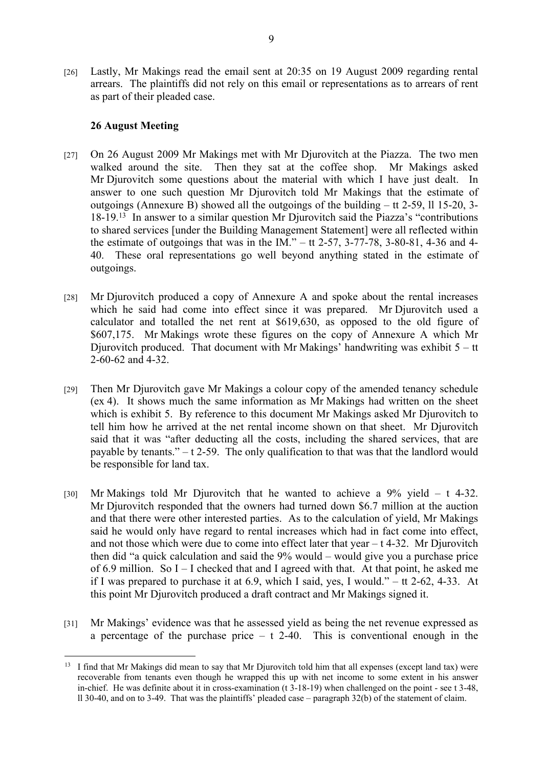[26] Lastly, Mr Makings read the email sent at 20:35 on 19 August 2009 regarding rental arrears. The plaintiffs did not rely on this email or representations as to arrears of rent as part of their pleaded case.

## **26 August Meeting**

- [27] On 26 August 2009 Mr Makings met with Mr Djurovitch at the Piazza. The two men walked around the site. Then they sat at the coffee shop. Mr Makings asked Mr Djurovitch some questions about the material with which I have just dealt. In answer to one such question Mr Djurovitch told Mr Makings that the estimate of outgoings (Annexure B) showed all the outgoings of the building – tt 2-59, ll 15-20, 3- 18-19.<sup>13</sup> In answer to a similar question Mr Djurovitch said the Piazza's "contributions to shared services [under the Building Management Statement] were all reflected within the estimate of outgoings that was in the IM." – tt 2-57, 3-77-78, 3-80-81, 4-36 and 4-40. These oral representations go well beyond anything stated in the estimate of outgoings.
- [28] Mr Djurovitch produced a copy of Annexure A and spoke about the rental increases which he said had come into effect since it was prepared. Mr Djurovitch used a calculator and totalled the net rent at \$619,630, as opposed to the old figure of \$607,175. Mr Makings wrote these figures on the copy of Annexure A which Mr Djurovitch produced. That document with Mr Makings' handwriting was exhibit  $5 -$ tt 2-60-62 and 4-32.
- [29] Then Mr Djurovitch gave Mr Makings a colour copy of the amended tenancy schedule (ex 4). It shows much the same information as Mr Makings had written on the sheet which is exhibit 5. By reference to this document Mr Makings asked Mr Djurovitch to tell him how he arrived at the net rental income shown on that sheet. Mr Djurovitch said that it was "after deducting all the costs, including the shared services, that are payable by tenants." – t 2-59. The only qualification to that was that the landlord would be responsible for land tax.
- [30] Mr Makings told Mr Djurovitch that he wanted to achieve a 9% yield t 4-32. Mr Djurovitch responded that the owners had turned down \$6.7 million at the auction and that there were other interested parties. As to the calculation of yield, Mr Makings said he would only have regard to rental increases which had in fact come into effect, and not those which were due to come into effect later that year  $- t$  4-32. Mr Djurovitch then did "a quick calculation and said the 9% would – would give you a purchase price of 6.9 million. So I – I checked that and I agreed with that. At that point, he asked me if I was prepared to purchase it at 6.9, which I said, yes, I would." – tt 2-62, 4-33. At this point Mr Djurovitch produced a draft contract and Mr Makings signed it.
- [31] Mr Makings' evidence was that he assessed yield as being the net revenue expressed as a percentage of the purchase price  $- t$  2-40. This is conventional enough in the

<sup>&</sup>lt;sup>13</sup> I find that Mr Makings did mean to say that Mr Djurovitch told him that all expenses (except land tax) were recoverable from tenants even though he wrapped this up with net income to some extent in his answer in-chief. He was definite about it in cross-examination (t 3-18-19) when challenged on the point - see t 3-48, ll 30-40, and on to 3-49. That was the plaintiffs' pleaded case – paragraph 32(b) of the statement of claim.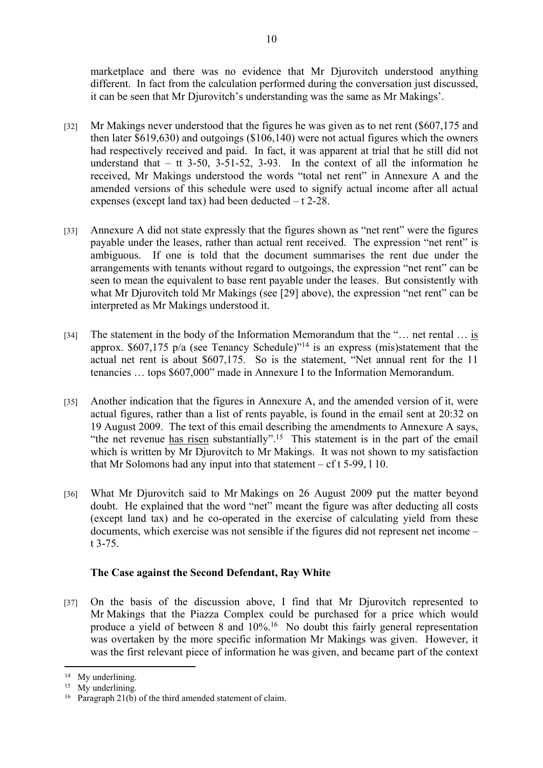marketplace and there was no evidence that Mr Djurovitch understood anything different. In fact from the calculation performed during the conversation just discussed, it can be seen that Mr Djurovitch's understanding was the same as Mr Makings'.

- [32] Mr Makings never understood that the figures he was given as to net rent (\$607,175 and then later \$619,630) and outgoings (\$106,140) were not actual figures which the owners had respectively received and paid. In fact, it was apparent at trial that he still did not understand that  $-$  tt 3-50, 3-51-52, 3-93. In the context of all the information he received, Mr Makings understood the words "total net rent" in Annexure A and the amended versions of this schedule were used to signify actual income after all actual expenses (except land tax) had been deducted – t 2-28.
- [33] Annexure A did not state expressly that the figures shown as "net rent" were the figures payable under the leases, rather than actual rent received. The expression "net rent" is ambiguous. If one is told that the document summarises the rent due under the arrangements with tenants without regard to outgoings, the expression "net rent" can be seen to mean the equivalent to base rent payable under the leases. But consistently with what Mr Djurovitch told Mr Makings (see [29] above), the expression "net rent" can be interpreted as Mr Makings understood it.
- [34] The statement in the body of the Information Memorandum that the "... net rental ... is approx. \$607,175 p/a (see Tenancy Schedule)"<sup>14</sup> is an express (mis)statement that the actual net rent is about \$607,175. So is the statement, "Net annual rent for the 11 tenancies … tops \$607,000" made in Annexure I to the Information Memorandum.
- [35] Another indication that the figures in Annexure A, and the amended version of it, were actual figures, rather than a list of rents payable, is found in the email sent at 20:32 on 19 August 2009. The text of this email describing the amendments to Annexure A says, "the net revenue has risen substantially".<sup>15</sup> This statement is in the part of the email which is written by Mr Djurovitch to Mr Makings. It was not shown to my satisfaction that Mr Solomons had any input into that statement  $- cf t 5-99, 110$ .
- [36] What Mr Djurovitch said to Mr Makings on 26 August 2009 put the matter beyond doubt. He explained that the word "net" meant the figure was after deducting all costs (except land tax) and he co-operated in the exercise of calculating yield from these documents, which exercise was not sensible if the figures did not represent net income – t 3-75.

# **The Case against the Second Defendant, Ray White**

[37] On the basis of the discussion above, I find that Mr Djurovitch represented to Mr Makings that the Piazza Complex could be purchased for a price which would produce a yield of between 8 and 10%.<sup>16</sup> No doubt this fairly general representation was overtaken by the more specific information Mr Makings was given. However, it was the first relevant piece of information he was given, and became part of the context

<sup>&</sup>lt;sup>14</sup> My underlining.

<sup>&</sup>lt;sup>15</sup> My underlining.

<sup>16</sup> Paragraph 21(b) of the third amended statement of claim.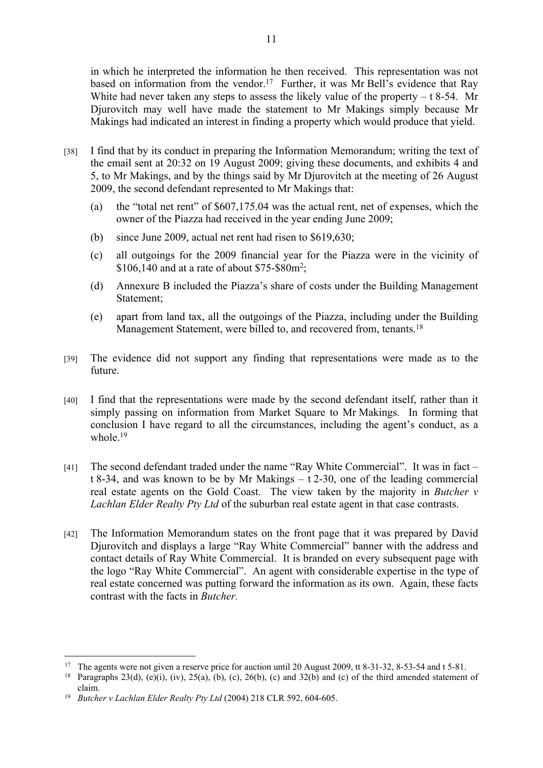in which he interpreted the information he then received. This representation was not based on information from the vendor.<sup>17</sup> Further, it was Mr Bell's evidence that Ray White had never taken any steps to assess the likely value of the property  $- t 8-54$ . Mr Djurovitch may well have made the statement to Mr Makings simply because Mr Makings had indicated an interest in finding a property which would produce that yield.

- [38] I find that by its conduct in preparing the Information Memorandum; writing the text of the email sent at 20:32 on 19 August 2009; giving these documents, and exhibits 4 and 5, to Mr Makings, and by the things said by Mr Djurovitch at the meeting of 26 August 2009, the second defendant represented to Mr Makings that:
	- (a) the "total net rent" of \$607,175.04 was the actual rent, net of expenses, which the owner of the Piazza had received in the year ending June 2009;
	- (b) since June 2009, actual net rent had risen to \$619,630;
	- (c) all outgoings for the 2009 financial year for the Piazza were in the vicinity of \$106,140 and at a rate of about \$75-\$80m<sup>2</sup> ;
	- (d) Annexure B included the Piazza's share of costs under the Building Management Statement;
	- (e) apart from land tax, all the outgoings of the Piazza, including under the Building Management Statement, were billed to, and recovered from, tenants.<sup>18</sup>
- [39] The evidence did not support any finding that representations were made as to the future.
- [40] I find that the representations were made by the second defendant itself, rather than it simply passing on information from Market Square to Mr Makings. In forming that conclusion I have regard to all the circumstances, including the agent's conduct, as a whole.<sup>19</sup>
- [41] The second defendant traded under the name "Ray White Commercial". It was in fact t 8-34, and was known to be by Mr Makings – t 2-30, one of the leading commercial real estate agents on the Gold Coast. The view taken by the majority in *Butcher v Lachlan Elder Realty Pty Ltd* of the suburban real estate agent in that case contrasts.
- [42] The Information Memorandum states on the front page that it was prepared by David Djurovitch and displays a large "Ray White Commercial" banner with the address and contact details of Ray White Commercial. It is branded on every subsequent page with the logo "Ray White Commercial". An agent with considerable expertise in the type of real estate concerned was putting forward the information as its own. Again, these facts contrast with the facts in *Butcher.*

<sup>&</sup>lt;sup>17</sup> The agents were not given a reserve price for auction until 20 August 2009, tt 8-31-32, 8-53-54 and t 5-81.<br><sup>18</sup> Paragraphs 23(d) (e)(i) (iv) 25(a) (b) (c) 26(b) (c) and 32(b) and (c) of the third amended statement

Paragraphs 23(d), (e)(i), (iv), 25(a), (b), (c), 26(b), (c) and 32(b) and (c) of the third amended statement of claim.

<sup>19</sup> *Butcher v Lachlan Elder Realty Pty Ltd* (2004) 218 CLR 592, 604-605.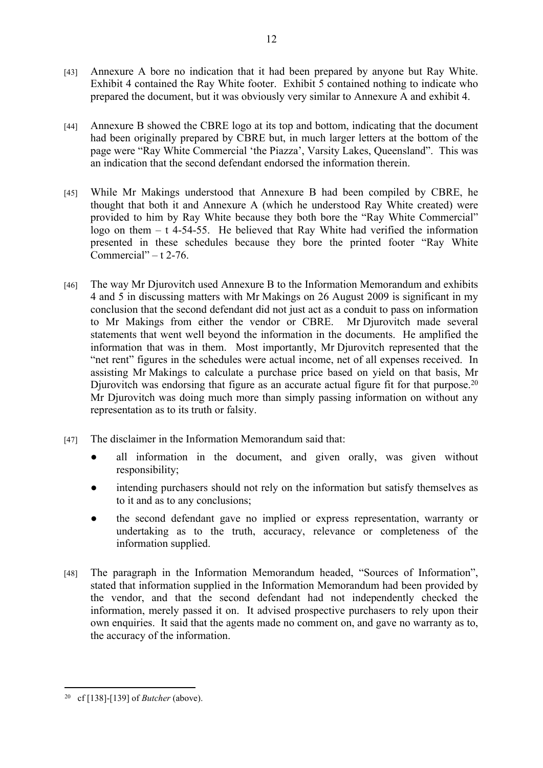- [43] Annexure A bore no indication that it had been prepared by anyone but Ray White. Exhibit 4 contained the Ray White footer. Exhibit 5 contained nothing to indicate who prepared the document, but it was obviously very similar to Annexure A and exhibit 4.
- [44] Annexure B showed the CBRE logo at its top and bottom, indicating that the document had been originally prepared by CBRE but, in much larger letters at the bottom of the page were "Ray White Commercial 'the Piazza', Varsity Lakes, Queensland". This was an indication that the second defendant endorsed the information therein.
- [45] While Mr Makings understood that Annexure B had been compiled by CBRE, he thought that both it and Annexure A (which he understood Ray White created) were provided to him by Ray White because they both bore the "Ray White Commercial" logo on them  $-$  t 4-54-55. He believed that Ray White had verified the information presented in these schedules because they bore the printed footer "Ray White Commercial" –  $t$  2-76.
- [46] The way Mr Djurovitch used Annexure B to the Information Memorandum and exhibits 4 and 5 in discussing matters with Mr Makings on 26 August 2009 is significant in my conclusion that the second defendant did not just act as a conduit to pass on information to Mr Makings from either the vendor or CBRE. Mr Djurovitch made several statements that went well beyond the information in the documents. He amplified the information that was in them. Most importantly, Mr Djurovitch represented that the "net rent" figures in the schedules were actual income, net of all expenses received. In assisting Mr Makings to calculate a purchase price based on yield on that basis, Mr Djurovitch was endorsing that figure as an accurate actual figure fit for that purpose.<sup>20</sup> Mr Djurovitch was doing much more than simply passing information on without any representation as to its truth or falsity.
- [47] The disclaimer in the Information Memorandum said that:
	- all information in the document, and given orally, was given without responsibility;
	- intending purchasers should not rely on the information but satisfy themselves as to it and as to any conclusions;
	- the second defendant gave no implied or express representation, warranty or undertaking as to the truth, accuracy, relevance or completeness of the information supplied.
- [48] The paragraph in the Information Memorandum headed, "Sources of Information", stated that information supplied in the Information Memorandum had been provided by the vendor, and that the second defendant had not independently checked the information, merely passed it on. It advised prospective purchasers to rely upon their own enquiries. It said that the agents made no comment on, and gave no warranty as to, the accuracy of the information.

<sup>20</sup> cf [138]-[139] of *Butcher* (above).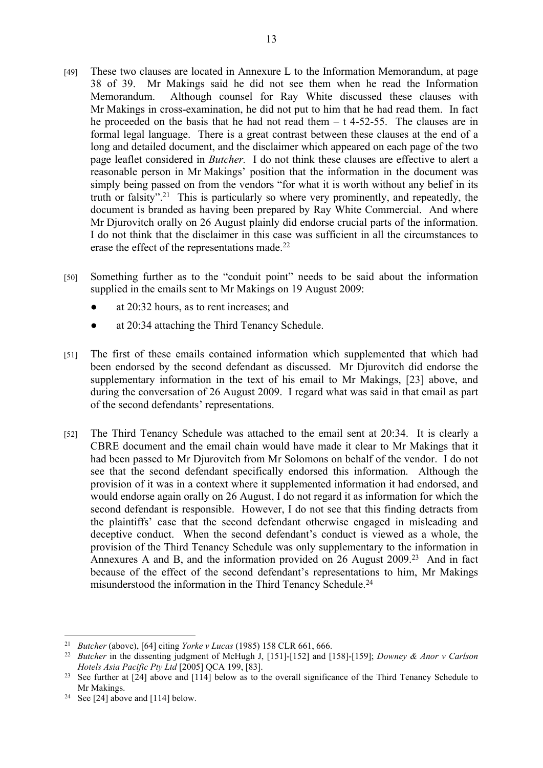- [49] These two clauses are located in Annexure L to the Information Memorandum, at page 38 of 39. Mr Makings said he did not see them when he read the Information Memorandum. Although counsel for Ray White discussed these clauses with Mr Makings in cross-examination, he did not put to him that he had read them. In fact he proceeded on the basis that he had not read them  $- t$  4-52-55. The clauses are in formal legal language. There is a great contrast between these clauses at the end of a long and detailed document, and the disclaimer which appeared on each page of the two page leaflet considered in *Butcher.* I do not think these clauses are effective to alert a reasonable person in Mr Makings' position that the information in the document was simply being passed on from the vendors "for what it is worth without any belief in its truth or falsity".<sup>21</sup> This is particularly so where very prominently, and repeatedly, the document is branded as having been prepared by Ray White Commercial. And where Mr Djurovitch orally on 26 August plainly did endorse crucial parts of the information. I do not think that the disclaimer in this case was sufficient in all the circumstances to erase the effect of the representations made.<sup>22</sup>
- [50] Something further as to the "conduit point" needs to be said about the information supplied in the emails sent to Mr Makings on 19 August 2009:
	- at  $20:32$  hours, as to rent increases; and
	- at 20:34 attaching the Third Tenancy Schedule.
- [51] The first of these emails contained information which supplemented that which had been endorsed by the second defendant as discussed. Mr Djurovitch did endorse the supplementary information in the text of his email to Mr Makings, [23] above, and during the conversation of 26 August 2009. I regard what was said in that email as part of the second defendants' representations.
- [52] The Third Tenancy Schedule was attached to the email sent at 20:34. It is clearly a CBRE document and the email chain would have made it clear to Mr Makings that it had been passed to Mr Djurovitch from Mr Solomons on behalf of the vendor. I do not see that the second defendant specifically endorsed this information. Although the provision of it was in a context where it supplemented information it had endorsed, and would endorse again orally on 26 August, I do not regard it as information for which the second defendant is responsible. However, I do not see that this finding detracts from the plaintiffs' case that the second defendant otherwise engaged in misleading and deceptive conduct. When the second defendant's conduct is viewed as a whole, the provision of the Third Tenancy Schedule was only supplementary to the information in Annexures A and B, and the information provided on 26 August 2009.<sup>23</sup> And in fact because of the effect of the second defendant's representations to him, Mr Makings misunderstood the information in the Third Tenancy Schedule.<sup>24</sup>

<sup>21</sup> *Butcher* (above), [64] citing *Yorke v Lucas* (1985) 158 CLR 661, 666.

<sup>22</sup> *Butcher* in the dissenting judgment of McHugh J, [151]-[152] and [158]-[159]; *Downey & Anor v Carlson Hotels Asia Pacific Pty Ltd* [2005] QCA 199, [83].

<sup>&</sup>lt;sup>23</sup> See further at [24] above and [114] below as to the overall significance of the Third Tenancy Schedule to Mr Makings.

<sup>&</sup>lt;sup>24</sup> See [24] above and [114] below.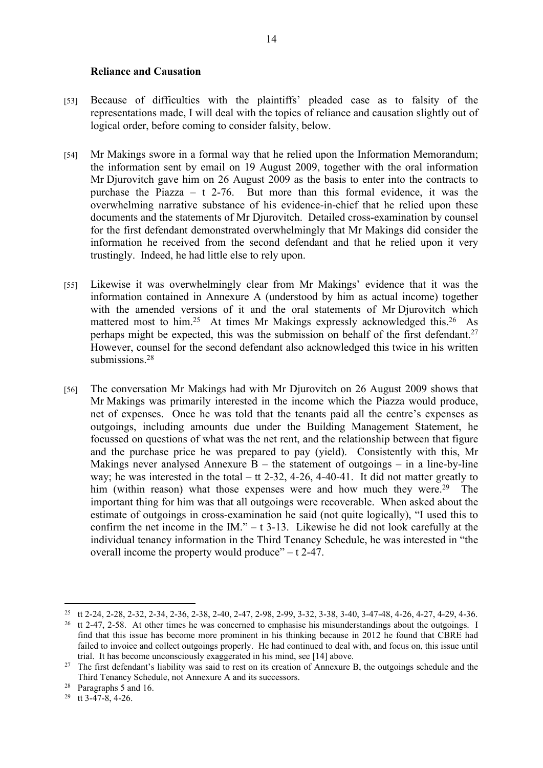#### **Reliance and Causation**

- [53] Because of difficulties with the plaintiffs' pleaded case as to falsity of the representations made, I will deal with the topics of reliance and causation slightly out of logical order, before coming to consider falsity, below.
- [54] Mr Makings swore in a formal way that he relied upon the Information Memorandum; the information sent by email on 19 August 2009, together with the oral information Mr Djurovitch gave him on 26 August 2009 as the basis to enter into the contracts to purchase the Piazza – t 2-76. But more than this formal evidence, it was the overwhelming narrative substance of his evidence-in-chief that he relied upon these documents and the statements of Mr Djurovitch. Detailed cross-examination by counsel for the first defendant demonstrated overwhelmingly that Mr Makings did consider the information he received from the second defendant and that he relied upon it very trustingly. Indeed, he had little else to rely upon.
- [55] Likewise it was overwhelmingly clear from Mr Makings' evidence that it was the information contained in Annexure A (understood by him as actual income) together with the amended versions of it and the oral statements of Mr Djurovitch which mattered most to him.<sup>25</sup> At times Mr Makings expressly acknowledged this.<sup>26</sup> As perhaps might be expected, this was the submission on behalf of the first defendant.<sup>27</sup> However, counsel for the second defendant also acknowledged this twice in his written submissions.<sup>28</sup>
- [56] The conversation Mr Makings had with Mr Djurovitch on 26 August 2009 shows that Mr Makings was primarily interested in the income which the Piazza would produce, net of expenses. Once he was told that the tenants paid all the centre's expenses as outgoings, including amounts due under the Building Management Statement, he focussed on questions of what was the net rent, and the relationship between that figure and the purchase price he was prepared to pay (yield). Consistently with this, Mr Makings never analysed Annexure  $B -$  the statement of outgoings – in a line-by-line way; he was interested in the total – tt 2-32, 4-26, 4-40-41. It did not matter greatly to him (within reason) what those expenses were and how much they were.<sup>29</sup> The important thing for him was that all outgoings were recoverable. When asked about the estimate of outgoings in cross-examination he said (not quite logically), "I used this to confirm the net income in the IM."  $-$  t 3-13. Likewise he did not look carefully at the individual tenancy information in the Third Tenancy Schedule, he was interested in "the overall income the property would produce" – t 2-47.

<sup>25</sup> tt 2-24, 2-28, 2-32, 2-34, 2-36, 2-38, 2-40, 2-47, 2-98, 2-99, 3-32, 3-38, 3-40, 3-47-48, 4-26, 4-27, 4-29, 4-36.

<sup>&</sup>lt;sup>26</sup> tt 2-47, 2-58. At other times he was concerned to emphasise his misunderstandings about the outgoings. I find that this issue has become more prominent in his thinking because in 2012 he found that CBRE had failed to invoice and collect outgoings properly. He had continued to deal with, and focus on, this issue until trial. It has become unconsciously exaggerated in his mind, see [14] above.

<sup>&</sup>lt;sup>27</sup> The first defendant's liability was said to rest on its creation of Annexure B, the outgoings schedule and the Third Tenancy Schedule, not Annexure A and its successors.

<sup>28</sup> Paragraphs 5 and 16.

<sup>29</sup> tt 3-47-8, 4-26.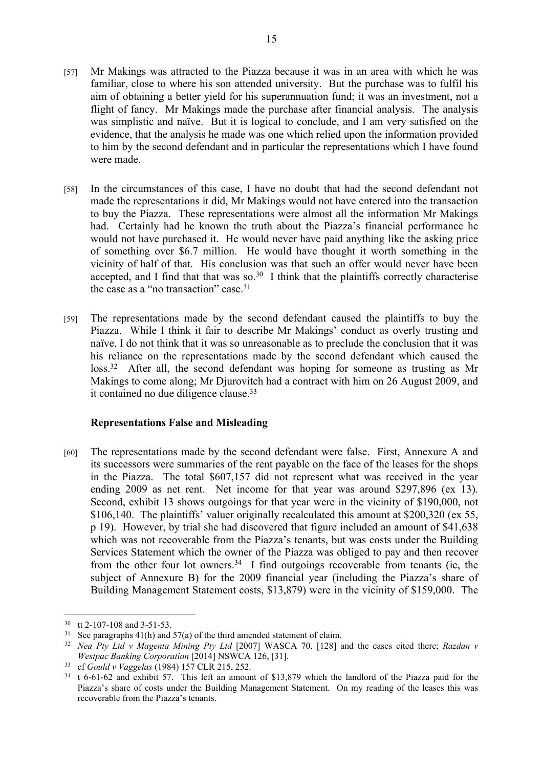- [57] Mr Makings was attracted to the Piazza because it was in an area with which he was familiar, close to where his son attended university. But the purchase was to fulfil his aim of obtaining a better yield for his superannuation fund; it was an investment, not a flight of fancy. Mr Makings made the purchase after financial analysis. The analysis was simplistic and naïve. But it is logical to conclude, and I am very satisfied on the evidence, that the analysis he made was one which relied upon the information provided to him by the second defendant and in particular the representations which I have found were made.
- [58] In the circumstances of this case, I have no doubt that had the second defendant not made the representations it did, Mr Makings would not have entered into the transaction to buy the Piazza. These representations were almost all the information Mr Makings had. Certainly had he known the truth about the Piazza's financial performance he would not have purchased it. He would never have paid anything like the asking price of something over \$6.7 million. He would have thought it worth something in the vicinity of half of that. His conclusion was that such an offer would never have been accepted, and I find that that was so. $30\,$  I think that the plaintiffs correctly characterise the case as a "no transaction" case.<sup>31</sup>
- [59] The representations made by the second defendant caused the plaintiffs to buy the Piazza. While I think it fair to describe Mr Makings' conduct as overly trusting and naïve, I do not think that it was so unreasonable as to preclude the conclusion that it was his reliance on the representations made by the second defendant which caused the loss.<sup>32</sup> After all, the second defendant was hoping for someone as trusting as Mr Makings to come along; Mr Djurovitch had a contract with him on 26 August 2009, and it contained no due diligence clause.<sup>33</sup>

### **Representations False and Misleading**

[60] The representations made by the second defendant were false. First, Annexure A and its successors were summaries of the rent payable on the face of the leases for the shops in the Piazza. The total \$607,157 did not represent what was received in the year ending 2009 as net rent. Net income for that year was around \$297,896 (ex 13). Second, exhibit 13 shows outgoings for that year were in the vicinity of \$190,000, not \$106,140. The plaintiffs' valuer originally recalculated this amount at \$200,320 (ex 55, p 19). However, by trial she had discovered that figure included an amount of \$41,638 which was not recoverable from the Piazza's tenants, but was costs under the Building Services Statement which the owner of the Piazza was obliged to pay and then recover from the other four lot owners.<sup>34</sup> I find outgoings recoverable from tenants (ie, the subject of Annexure B) for the 2009 financial year (including the Piazza's share of Building Management Statement costs, \$13,879) were in the vicinity of \$159,000. The

<sup>30</sup> tt 2-107-108 and 3-51-53.

<sup>&</sup>lt;sup>31</sup> See paragraphs 41(h) and 57(a) of the third amended statement of claim.

<sup>32</sup> *Nea Pty Ltd v Magenta Mining Pty Ltd* [2007] WASCA 70, [128] and the cases cited there; *Razdan v Westpac Banking Corporation* [2014] NSWCA 126, [31].

<sup>33</sup> cf *Gould v Vaggelas* (1984) 157 CLR 215, 252.

<sup>34</sup> t 6-61-62 and exhibit 57. This left an amount of \$13,879 which the landlord of the Piazza paid for the Piazza's share of costs under the Building Management Statement. On my reading of the leases this was recoverable from the Piazza's tenants.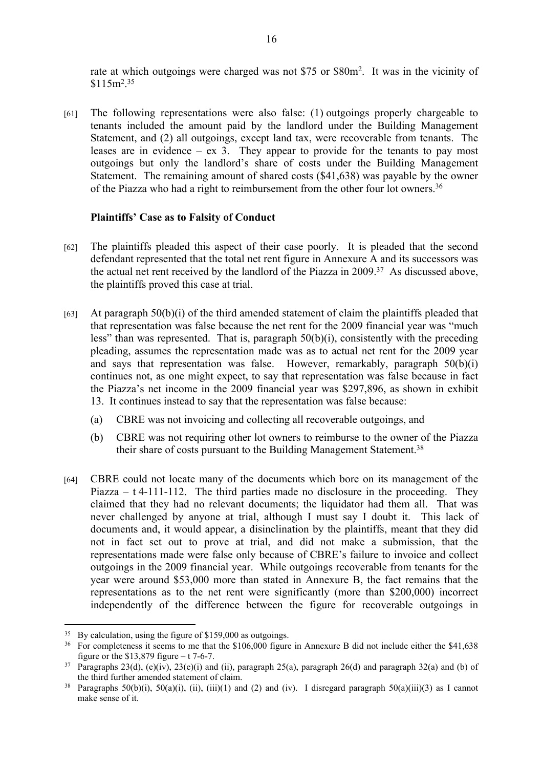rate at which outgoings were charged was not \$75 or \$80m<sup>2</sup>. It was in the vicinity of  $$115m<sup>2</sup>.<sup>35</sup>$ 

[61] The following representations were also false: (1) outgoings properly chargeable to tenants included the amount paid by the landlord under the Building Management Statement, and (2) all outgoings, except land tax, were recoverable from tenants. The leases are in evidence – ex 3. They appear to provide for the tenants to pay most outgoings but only the landlord's share of costs under the Building Management Statement. The remaining amount of shared costs (\$41,638) was payable by the owner of the Piazza who had a right to reimbursement from the other four lot owners.<sup>36</sup>

#### **Plaintiffs' Case as to Falsity of Conduct**

- [62] The plaintiffs pleaded this aspect of their case poorly. It is pleaded that the second defendant represented that the total net rent figure in Annexure A and its successors was the actual net rent received by the landlord of the Piazza in 2009.<sup>37</sup> As discussed above, the plaintiffs proved this case at trial.
- [63] At paragraph  $50(b)(i)$  of the third amended statement of claim the plaintiffs pleaded that that representation was false because the net rent for the 2009 financial year was "much less" than was represented. That is, paragraph 50(b)(i), consistently with the preceding pleading, assumes the representation made was as to actual net rent for the 2009 year and says that representation was false. However, remarkably, paragraph  $50(b)(i)$ continues not, as one might expect, to say that representation was false because in fact the Piazza's net income in the 2009 financial year was \$297,896, as shown in exhibit 13. It continues instead to say that the representation was false because:
	- (a) CBRE was not invoicing and collecting all recoverable outgoings, and
	- (b) CBRE was not requiring other lot owners to reimburse to the owner of the Piazza their share of costs pursuant to the Building Management Statement.<sup>38</sup>
- [64] CBRE could not locate many of the documents which bore on its management of the Piazza – t 4-111-112. The third parties made no disclosure in the proceeding. They claimed that they had no relevant documents; the liquidator had them all. That was never challenged by anyone at trial, although I must say I doubt it. This lack of documents and, it would appear, a disinclination by the plaintiffs, meant that they did not in fact set out to prove at trial, and did not make a submission, that the representations made were false only because of CBRE's failure to invoice and collect outgoings in the 2009 financial year. While outgoings recoverable from tenants for the year were around \$53,000 more than stated in Annexure B, the fact remains that the representations as to the net rent were significantly (more than \$200,000) incorrect independently of the difference between the figure for recoverable outgoings in

<sup>&</sup>lt;sup>35</sup> By calculation, using the figure of \$159,000 as outgoings.<br><sup>36</sup> For completeness it seems to me that the \$106,000 figure

<sup>36</sup> For completeness it seems to me that the \$106,000 figure in Annexure B did not include either the \$41,638 figure or the  $$13,879$  figure – t 7-6-7.

<sup>&</sup>lt;sup>37</sup> Paragraphs 23(d), (e)(iv), 23(e)(i) and (ii), paragraph 25(a), paragraph 26(d) and paragraph 32(a) and (b) of the third further amended statement of claim.

<sup>&</sup>lt;sup>38</sup> Paragraphs 50(b)(i), 50(a)(i), (ii), (iii)(1) and (2) and (iv). I disregard paragraph 50(a)(iii)(3) as I cannot make sense of it.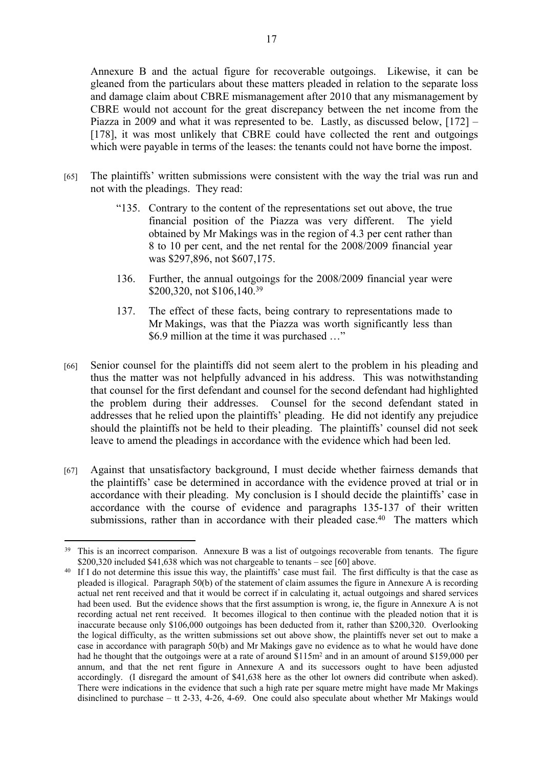Annexure B and the actual figure for recoverable outgoings. Likewise, it can be gleaned from the particulars about these matters pleaded in relation to the separate loss and damage claim about CBRE mismanagement after 2010 that any mismanagement by CBRE would not account for the great discrepancy between the net income from the Piazza in 2009 and what it was represented to be. Lastly, as discussed below, [172] – [178], it was most unlikely that CBRE could have collected the rent and outgoings which were payable in terms of the leases: the tenants could not have borne the impost.

- [65] The plaintiffs' written submissions were consistent with the way the trial was run and not with the pleadings. They read:
	- "135. Contrary to the content of the representations set out above, the true financial position of the Piazza was very different. The yield obtained by Mr Makings was in the region of 4.3 per cent rather than 8 to 10 per cent, and the net rental for the 2008/2009 financial year was \$297,896, not \$607,175.
	- 136. Further, the annual outgoings for the 2008/2009 financial year were \$200,320, not \$106,140.<sup>39</sup>
	- 137. The effect of these facts, being contrary to representations made to Mr Makings, was that the Piazza was worth significantly less than \$6.9 million at the time it was purchased …"
- [66] Senior counsel for the plaintiffs did not seem alert to the problem in his pleading and thus the matter was not helpfully advanced in his address. This was notwithstanding that counsel for the first defendant and counsel for the second defendant had highlighted the problem during their addresses. Counsel for the second defendant stated in addresses that he relied upon the plaintiffs' pleading. He did not identify any prejudice should the plaintiffs not be held to their pleading. The plaintiffs' counsel did not seek leave to amend the pleadings in accordance with the evidence which had been led.
- [67] Against that unsatisfactory background, I must decide whether fairness demands that the plaintiffs' case be determined in accordance with the evidence proved at trial or in accordance with their pleading. My conclusion is I should decide the plaintiffs' case in accordance with the course of evidence and paragraphs 135-137 of their written submissions, rather than in accordance with their pleaded case.<sup>40</sup> The matters which

<sup>&</sup>lt;sup>39</sup> This is an incorrect comparison. Annexure B was a list of outgoings recoverable from tenants. The figure \$200,320 included \$41,638 which was not chargeable to tenants – see [60] above.

<sup>&</sup>lt;sup>40</sup> If I do not determine this issue this way, the plaintiffs' case must fail. The first difficulty is that the case as pleaded is illogical. Paragraph 50(b) of the statement of claim assumes the figure in Annexure A is recording actual net rent received and that it would be correct if in calculating it, actual outgoings and shared services had been used. But the evidence shows that the first assumption is wrong, ie, the figure in Annexure A is not recording actual net rent received. It becomes illogical to then continue with the pleaded notion that it is inaccurate because only \$106,000 outgoings has been deducted from it, rather than \$200,320. Overlooking the logical difficulty, as the written submissions set out above show, the plaintiffs never set out to make a case in accordance with paragraph 50(b) and Mr Makings gave no evidence as to what he would have done had he thought that the outgoings were at a rate of around \$115m<sup>2</sup> and in an amount of around \$159,000 per annum, and that the net rent figure in Annexure A and its successors ought to have been adjusted accordingly. (I disregard the amount of \$41,638 here as the other lot owners did contribute when asked). There were indications in the evidence that such a high rate per square metre might have made Mr Makings disinclined to purchase – tt 2-33, 4-26, 4-69. One could also speculate about whether Mr Makings would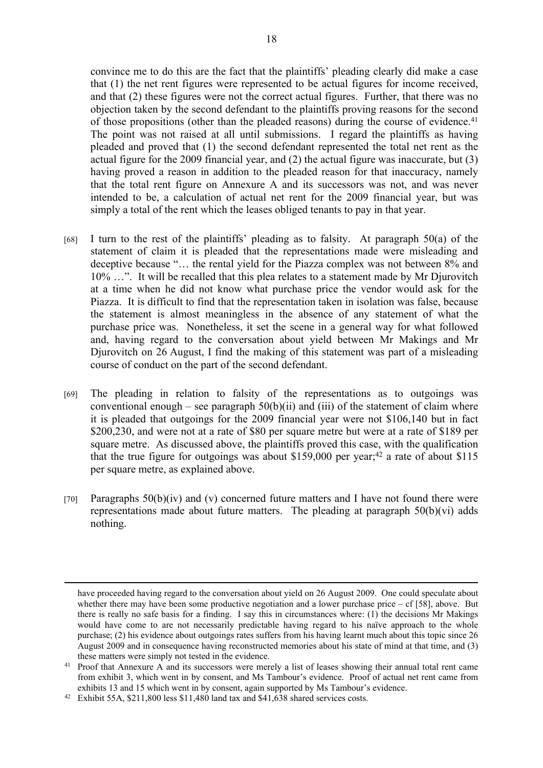convince me to do this are the fact that the plaintiffs' pleading clearly did make a case that (1) the net rent figures were represented to be actual figures for income received, and that (2) these figures were not the correct actual figures. Further, that there was no objection taken by the second defendant to the plaintiffs proving reasons for the second of those propositions (other than the pleaded reasons) during the course of evidence.<sup>41</sup> The point was not raised at all until submissions. I regard the plaintiffs as having pleaded and proved that (1) the second defendant represented the total net rent as the actual figure for the 2009 financial year, and (2) the actual figure was inaccurate, but (3) having proved a reason in addition to the pleaded reason for that inaccuracy, namely that the total rent figure on Annexure A and its successors was not, and was never intended to be, a calculation of actual net rent for the 2009 financial year, but was simply a total of the rent which the leases obliged tenants to pay in that year.

- [68] I turn to the rest of the plaintiffs' pleading as to falsity. At paragraph  $50(a)$  of the statement of claim it is pleaded that the representations made were misleading and deceptive because "… the rental yield for the Piazza complex was not between 8% and 10% …". It will be recalled that this plea relates to a statement made by Mr Djurovitch at a time when he did not know what purchase price the vendor would ask for the Piazza. It is difficult to find that the representation taken in isolation was false, because the statement is almost meaningless in the absence of any statement of what the purchase price was. Nonetheless, it set the scene in a general way for what followed and, having regard to the conversation about yield between Mr Makings and Mr Djurovitch on 26 August, I find the making of this statement was part of a misleading course of conduct on the part of the second defendant.
- [69] The pleading in relation to falsity of the representations as to outgoings was conventional enough – see paragraph  $50(b)(ii)$  and (iii) of the statement of claim where it is pleaded that outgoings for the 2009 financial year were not \$106,140 but in fact \$200,230, and were not at a rate of \$80 per square metre but were at a rate of \$189 per square metre. As discussed above, the plaintiffs proved this case, with the qualification that the true figure for outgoings was about \$159,000 per year;<sup>42</sup> a rate of about \$115 per square metre, as explained above.
- [70] Paragraphs  $50(b)(iv)$  and (v) concerned future matters and I have not found there were representations made about future matters. The pleading at paragraph 50(b)(vi) adds nothing.

have proceeded having regard to the conversation about yield on 26 August 2009. One could speculate about whether there may have been some productive negotiation and a lower purchase price  $- cf [58]$ , above. But there is really no safe basis for a finding. I say this in circumstances where: (1) the decisions Mr Makings would have come to are not necessarily predictable having regard to his naïve approach to the whole purchase; (2) his evidence about outgoings rates suffers from his having learnt much about this topic since 26 August 2009 and in consequence having reconstructed memories about his state of mind at that time, and (3) these matters were simply not tested in the evidence.

<sup>&</sup>lt;sup>41</sup> Proof that Annexure A and its successors were merely a list of leases showing their annual total rent came from exhibit 3, which went in by consent, and Ms Tambour's evidence. Proof of actual net rent came from exhibits 13 and 15 which went in by consent, again supported by Ms Tambour's evidence.

<sup>42</sup> Exhibit 55A, \$211,800 less \$11,480 land tax and \$41,638 shared services costs.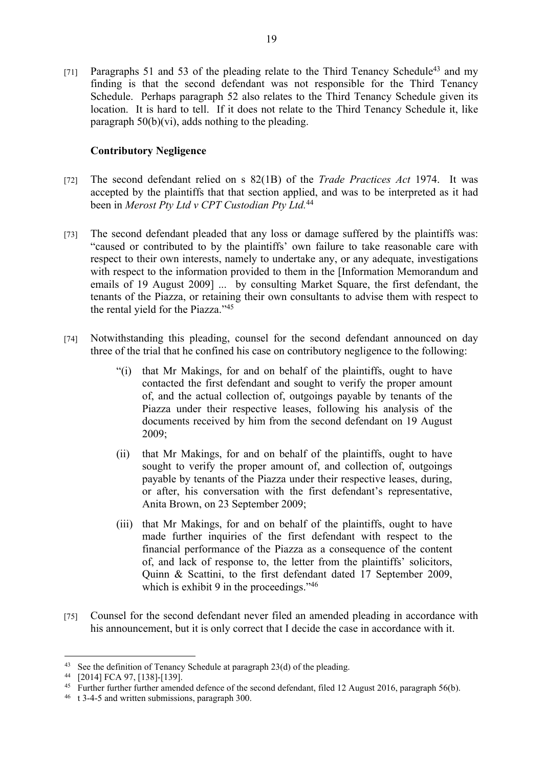[71] Paragraphs 51 and 53 of the pleading relate to the Third Tenancy Schedule<sup>43</sup> and my finding is that the second defendant was not responsible for the Third Tenancy Schedule. Perhaps paragraph 52 also relates to the Third Tenancy Schedule given its location. It is hard to tell. If it does not relate to the Third Tenancy Schedule it, like paragraph  $50(b)(vi)$ , adds nothing to the pleading.

# **Contributory Negligence**

- [72] The second defendant relied on s 82(1B) of the *Trade Practices Act* 1974. It was accepted by the plaintiffs that that section applied, and was to be interpreted as it had been in *Merost Pty Ltd v CPT Custodian Pty Ltd.*<sup>44</sup>
- [73] The second defendant pleaded that any loss or damage suffered by the plaintiffs was: "caused or contributed to by the plaintiffs' own failure to take reasonable care with respect to their own interests, namely to undertake any, or any adequate, investigations with respect to the information provided to them in the [Information Memorandum and emails of 19 August 2009] ... by consulting Market Square, the first defendant, the tenants of the Piazza, or retaining their own consultants to advise them with respect to the rental yield for the Piazza."<sup>45</sup>
- [74] Notwithstanding this pleading, counsel for the second defendant announced on day three of the trial that he confined his case on contributory negligence to the following:
	- "(i) that Mr Makings, for and on behalf of the plaintiffs, ought to have contacted the first defendant and sought to verify the proper amount of, and the actual collection of, outgoings payable by tenants of the Piazza under their respective leases, following his analysis of the documents received by him from the second defendant on 19 August 2009;
	- (ii) that Mr Makings, for and on behalf of the plaintiffs, ought to have sought to verify the proper amount of, and collection of, outgoings payable by tenants of the Piazza under their respective leases, during, or after, his conversation with the first defendant's representative, Anita Brown, on 23 September 2009;
	- (iii) that Mr Makings, for and on behalf of the plaintiffs, ought to have made further inquiries of the first defendant with respect to the financial performance of the Piazza as a consequence of the content of, and lack of response to, the letter from the plaintiffs' solicitors, Quinn & Scattini, to the first defendant dated 17 September 2009, which is exhibit 9 in the proceedings."<sup>46</sup>
- [75] Counsel for the second defendant never filed an amended pleading in accordance with his announcement, but it is only correct that I decide the case in accordance with it.

<sup>43</sup> See the definition of Tenancy Schedule at paragraph 23(d) of the pleading.

<sup>44</sup> [2014] FCA 97, [138]-[139].

<sup>&</sup>lt;sup>45</sup> Further further further amended defence of the second defendant, filed 12 August 2016, paragraph 56(b).

<sup>46</sup> t 3-4-5 and written submissions, paragraph 300.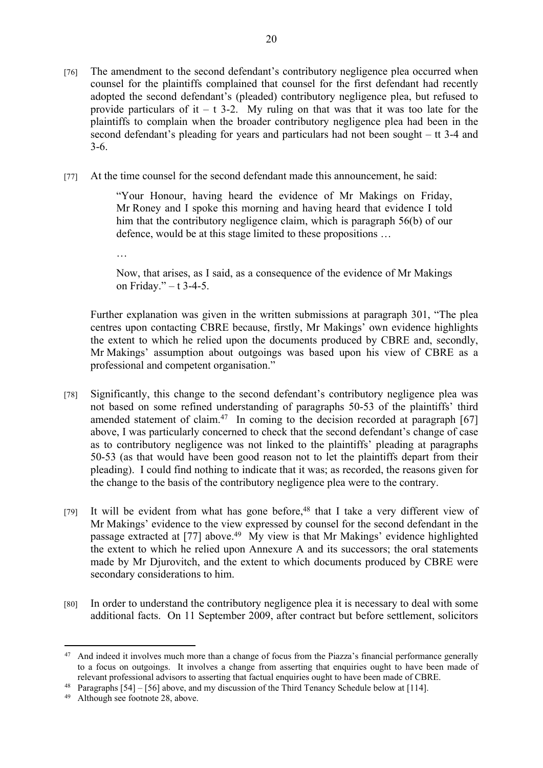- [76] The amendment to the second defendant's contributory negligence plea occurred when counsel for the plaintiffs complained that counsel for the first defendant had recently adopted the second defendant's (pleaded) contributory negligence plea, but refused to provide particulars of it – t 3-2. My ruling on that was that it was too late for the plaintiffs to complain when the broader contributory negligence plea had been in the second defendant's pleading for years and particulars had not been sought – tt 3-4 and 3-6.
- [77] At the time counsel for the second defendant made this announcement, he said:

"Your Honour, having heard the evidence of Mr Makings on Friday, Mr Roney and I spoke this morning and having heard that evidence I told him that the contributory negligence claim, which is paragraph 56(b) of our defence, would be at this stage limited to these propositions …

…

Now, that arises, as I said, as a consequence of the evidence of Mr Makings on Friday." – t 3-4-5.

Further explanation was given in the written submissions at paragraph 301, "The plea centres upon contacting CBRE because, firstly, Mr Makings' own evidence highlights the extent to which he relied upon the documents produced by CBRE and, secondly, Mr Makings' assumption about outgoings was based upon his view of CBRE as a professional and competent organisation."

- [78] Significantly, this change to the second defendant's contributory negligence plea was not based on some refined understanding of paragraphs 50-53 of the plaintiffs' third amended statement of claim.<sup>47</sup> In coming to the decision recorded at paragraph  $[67]$ above, I was particularly concerned to check that the second defendant's change of case as to contributory negligence was not linked to the plaintiffs' pleading at paragraphs 50-53 (as that would have been good reason not to let the plaintiffs depart from their pleading). I could find nothing to indicate that it was; as recorded, the reasons given for the change to the basis of the contributory negligence plea were to the contrary.
- [79] It will be evident from what has gone before,<sup>48</sup> that I take a very different view of Mr Makings' evidence to the view expressed by counsel for the second defendant in the passage extracted at [77] above.<sup>49</sup> My view is that Mr Makings' evidence highlighted the extent to which he relied upon Annexure A and its successors; the oral statements made by Mr Djurovitch, and the extent to which documents produced by CBRE were secondary considerations to him.
- [80] In order to understand the contributory negligence plea it is necessary to deal with some additional facts. On 11 September 2009, after contract but before settlement, solicitors

<sup>&</sup>lt;sup>47</sup> And indeed it involves much more than a change of focus from the Piazza's financial performance generally to a focus on outgoings. It involves a change from asserting that enquiries ought to have been made of relevant professional advisors to asserting that factual enquiries ought to have been made of CBRE.

<sup>48</sup> Paragraphs [54] – [56] above, and my discussion of the Third Tenancy Schedule below at [114].

<sup>49</sup> Although see footnote 28, above.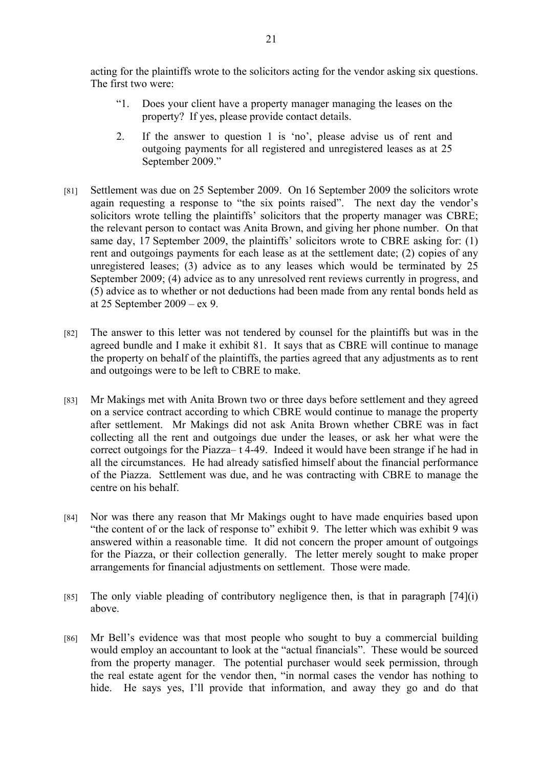acting for the plaintiffs wrote to the solicitors acting for the vendor asking six questions. The first two were:

- "1. Does your client have a property manager managing the leases on the property? If yes, please provide contact details.
- 2. If the answer to question 1 is 'no', please advise us of rent and outgoing payments for all registered and unregistered leases as at 25 September 2009."
- [81] Settlement was due on 25 September 2009. On 16 September 2009 the solicitors wrote again requesting a response to "the six points raised". The next day the vendor's solicitors wrote telling the plaintiffs' solicitors that the property manager was CBRE; the relevant person to contact was Anita Brown, and giving her phone number. On that same day, 17 September 2009, the plaintiffs' solicitors wrote to CBRE asking for: (1) rent and outgoings payments for each lease as at the settlement date; (2) copies of any unregistered leases; (3) advice as to any leases which would be terminated by 25 September 2009; (4) advice as to any unresolved rent reviews currently in progress, and (5) advice as to whether or not deductions had been made from any rental bonds held as at 25 September 2009 – ex 9.
- [82] The answer to this letter was not tendered by counsel for the plaintiffs but was in the agreed bundle and I make it exhibit 81. It says that as CBRE will continue to manage the property on behalf of the plaintiffs, the parties agreed that any adjustments as to rent and outgoings were to be left to CBRE to make.
- [83] Mr Makings met with Anita Brown two or three days before settlement and they agreed on a service contract according to which CBRE would continue to manage the property after settlement. Mr Makings did not ask Anita Brown whether CBRE was in fact collecting all the rent and outgoings due under the leases, or ask her what were the correct outgoings for the Piazza– t 4-49. Indeed it would have been strange if he had in all the circumstances. He had already satisfied himself about the financial performance of the Piazza. Settlement was due, and he was contracting with CBRE to manage the centre on his behalf.
- [84] Nor was there any reason that Mr Makings ought to have made enquiries based upon "the content of or the lack of response to" exhibit 9. The letter which was exhibit 9 was answered within a reasonable time. It did not concern the proper amount of outgoings for the Piazza, or their collection generally. The letter merely sought to make proper arrangements for financial adjustments on settlement. Those were made.
- $[85]$  The only viable pleading of contributory negligence then, is that in paragraph  $[74]$ (i) above.
- [86] Mr Bell's evidence was that most people who sought to buy a commercial building would employ an accountant to look at the "actual financials". These would be sourced from the property manager. The potential purchaser would seek permission, through the real estate agent for the vendor then, "in normal cases the vendor has nothing to hide. He says yes, I'll provide that information, and away they go and do that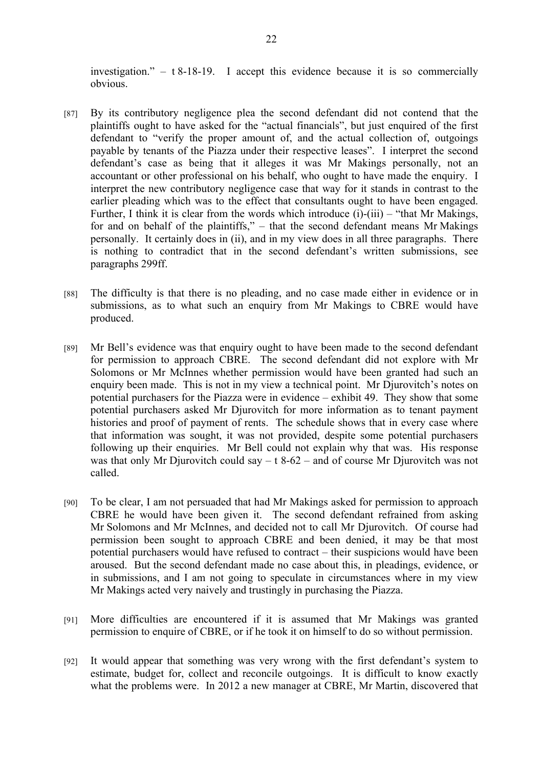investigation."  $-$  t 8-18-19. I accept this evidence because it is so commercially obvious.

- [87] By its contributory negligence plea the second defendant did not contend that the plaintiffs ought to have asked for the "actual financials", but just enquired of the first defendant to "verify the proper amount of, and the actual collection of, outgoings payable by tenants of the Piazza under their respective leases". I interpret the second defendant's case as being that it alleges it was Mr Makings personally, not an accountant or other professional on his behalf, who ought to have made the enquiry. I interpret the new contributory negligence case that way for it stands in contrast to the earlier pleading which was to the effect that consultants ought to have been engaged. Further, I think it is clear from the words which introduce  $(i)$ - $(iii)$  – "that Mr Makings, for and on behalf of the plaintiffs," – that the second defendant means Mr Makings personally. It certainly does in (ii), and in my view does in all three paragraphs. There is nothing to contradict that in the second defendant's written submissions, see paragraphs 299ff.
- [88] The difficulty is that there is no pleading, and no case made either in evidence or in submissions, as to what such an enquiry from Mr Makings to CBRE would have produced.
- [89] Mr Bell's evidence was that enquiry ought to have been made to the second defendant for permission to approach CBRE. The second defendant did not explore with Mr Solomons or Mr McInnes whether permission would have been granted had such an enquiry been made. This is not in my view a technical point. Mr Djurovitch's notes on potential purchasers for the Piazza were in evidence – exhibit 49. They show that some potential purchasers asked Mr Djurovitch for more information as to tenant payment histories and proof of payment of rents. The schedule shows that in every case where that information was sought, it was not provided, despite some potential purchasers following up their enquiries. Mr Bell could not explain why that was. His response was that only Mr Djurovitch could say  $- t 8-62$  – and of course Mr Djurovitch was not called.
- [90] To be clear, I am not persuaded that had Mr Makings asked for permission to approach CBRE he would have been given it. The second defendant refrained from asking Mr Solomons and Mr McInnes, and decided not to call Mr Djurovitch. Of course had permission been sought to approach CBRE and been denied, it may be that most potential purchasers would have refused to contract – their suspicions would have been aroused. But the second defendant made no case about this, in pleadings, evidence, or in submissions, and I am not going to speculate in circumstances where in my view Mr Makings acted very naively and trustingly in purchasing the Piazza.
- [91] More difficulties are encountered if it is assumed that Mr Makings was granted permission to enquire of CBRE, or if he took it on himself to do so without permission.
- [92] It would appear that something was very wrong with the first defendant's system to estimate, budget for, collect and reconcile outgoings. It is difficult to know exactly what the problems were. In 2012 a new manager at CBRE, Mr Martin, discovered that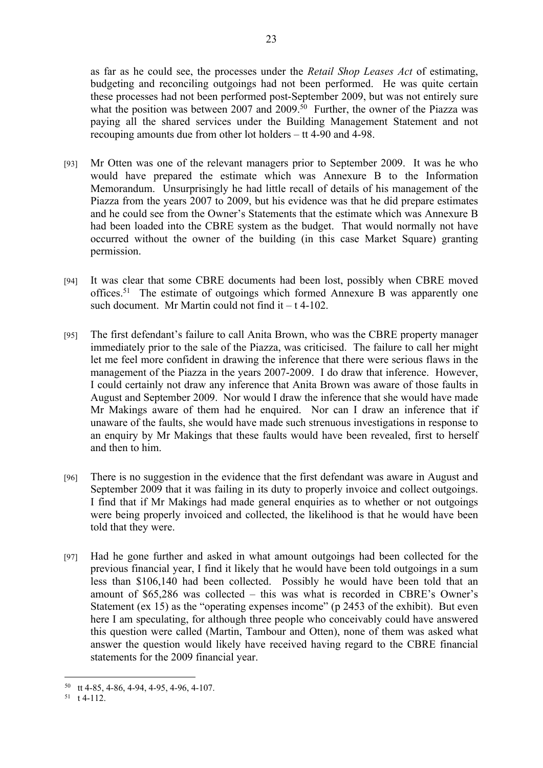as far as he could see, the processes under the *Retail Shop Leases Act* of estimating, budgeting and reconciling outgoings had not been performed. He was quite certain these processes had not been performed post-September 2009, but was not entirely sure what the position was between 2007 and 2009.<sup>50</sup> Further, the owner of the Piazza was paying all the shared services under the Building Management Statement and not recouping amounts due from other lot holders – tt 4-90 and 4-98.

- [93] Mr Otten was one of the relevant managers prior to September 2009. It was he who would have prepared the estimate which was Annexure B to the Information Memorandum. Unsurprisingly he had little recall of details of his management of the Piazza from the years 2007 to 2009, but his evidence was that he did prepare estimates and he could see from the Owner's Statements that the estimate which was Annexure B had been loaded into the CBRE system as the budget. That would normally not have occurred without the owner of the building (in this case Market Square) granting permission.
- [94] It was clear that some CBRE documents had been lost, possibly when CBRE moved offices.<sup>51</sup> The estimate of outgoings which formed Annexure B was apparently one such document. Mr Martin could not find it  $- t$  4-102.
- [95] The first defendant's failure to call Anita Brown, who was the CBRE property manager immediately prior to the sale of the Piazza, was criticised. The failure to call her might let me feel more confident in drawing the inference that there were serious flaws in the management of the Piazza in the years 2007-2009. I do draw that inference. However, I could certainly not draw any inference that Anita Brown was aware of those faults in August and September 2009. Nor would I draw the inference that she would have made Mr Makings aware of them had he enquired. Nor can I draw an inference that if unaware of the faults, she would have made such strenuous investigations in response to an enquiry by Mr Makings that these faults would have been revealed, first to herself and then to him.
- [96] There is no suggestion in the evidence that the first defendant was aware in August and September 2009 that it was failing in its duty to properly invoice and collect outgoings. I find that if Mr Makings had made general enquiries as to whether or not outgoings were being properly invoiced and collected, the likelihood is that he would have been told that they were.
- [97] Had he gone further and asked in what amount outgoings had been collected for the previous financial year, I find it likely that he would have been told outgoings in a sum less than \$106,140 had been collected. Possibly he would have been told that an amount of \$65,286 was collected – this was what is recorded in CBRE's Owner's Statement (ex 15) as the "operating expenses income" (p 2453 of the exhibit). But even here I am speculating, for although three people who conceivably could have answered this question were called (Martin, Tambour and Otten), none of them was asked what answer the question would likely have received having regard to the CBRE financial statements for the 2009 financial year.

<sup>50</sup> tt 4-85, 4-86, 4-94, 4-95, 4-96, 4-107.

 $51$  t 4-112.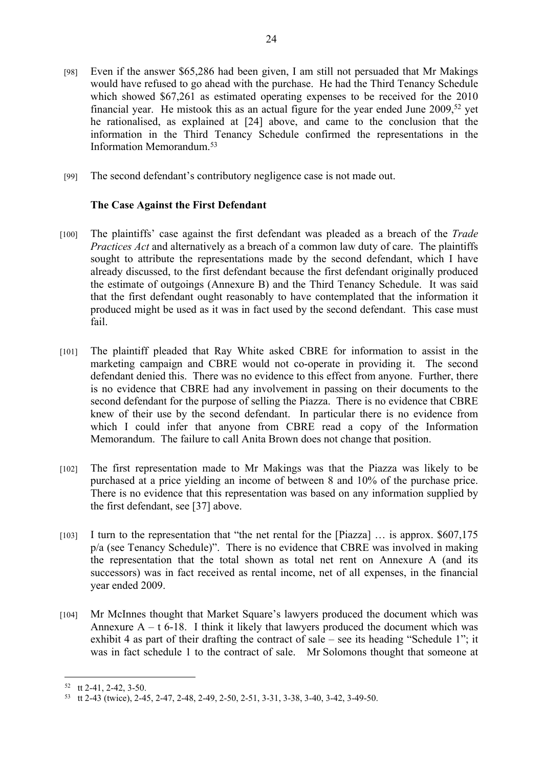- [98] Even if the answer \$65,286 had been given, I am still not persuaded that Mr Makings would have refused to go ahead with the purchase. He had the Third Tenancy Schedule which showed \$67,261 as estimated operating expenses to be received for the 2010 financial year. He mistook this as an actual figure for the year ended June 2009,<sup>52</sup> yet he rationalised, as explained at [24] above, and came to the conclusion that the information in the Third Tenancy Schedule confirmed the representations in the Information Memorandum<sup>53</sup>
- [99] The second defendant's contributory negligence case is not made out.

## **The Case Against the First Defendant**

- [100] The plaintiffs' case against the first defendant was pleaded as a breach of the *Trade Practices Act* and alternatively as a breach of a common law duty of care. The plaintiffs sought to attribute the representations made by the second defendant, which I have already discussed, to the first defendant because the first defendant originally produced the estimate of outgoings (Annexure B) and the Third Tenancy Schedule. It was said that the first defendant ought reasonably to have contemplated that the information it produced might be used as it was in fact used by the second defendant. This case must fail.
- [101] The plaintiff pleaded that Ray White asked CBRE for information to assist in the marketing campaign and CBRE would not co-operate in providing it. The second defendant denied this. There was no evidence to this effect from anyone. Further, there is no evidence that CBRE had any involvement in passing on their documents to the second defendant for the purpose of selling the Piazza. There is no evidence that CBRE knew of their use by the second defendant. In particular there is no evidence from which I could infer that anyone from CBRE read a copy of the Information Memorandum. The failure to call Anita Brown does not change that position.
- [102] The first representation made to Mr Makings was that the Piazza was likely to be purchased at a price yielding an income of between 8 and 10% of the purchase price. There is no evidence that this representation was based on any information supplied by the first defendant, see [37] above.
- [103] I turn to the representation that "the net rental for the [Piazza] … is approx. \$607,175 p/a (see Tenancy Schedule)". There is no evidence that CBRE was involved in making the representation that the total shown as total net rent on Annexure A (and its successors) was in fact received as rental income, net of all expenses, in the financial year ended 2009.
- [104] Mr McInnes thought that Market Square's lawyers produced the document which was Annexure  $A - t$  6-18. I think it likely that lawyers produced the document which was exhibit 4 as part of their drafting the contract of sale – see its heading "Schedule 1"; it was in fact schedule 1 to the contract of sale. Mr Solomons thought that someone at

<sup>52</sup> tt 2-41, 2-42, 3-50.

<sup>53</sup> tt 2-43 (twice), 2-45, 2-47, 2-48, 2-49, 2-50, 2-51, 3-31, 3-38, 3-40, 3-42, 3-49-50.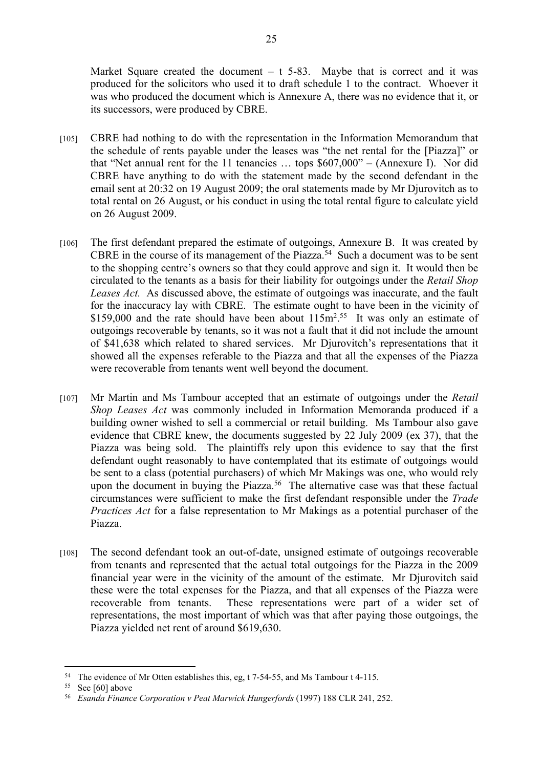Market Square created the document  $-$  t 5-83. Maybe that is correct and it was produced for the solicitors who used it to draft schedule 1 to the contract. Whoever it was who produced the document which is Annexure A, there was no evidence that it, or its successors, were produced by CBRE.

- [105] CBRE had nothing to do with the representation in the Information Memorandum that the schedule of rents payable under the leases was "the net rental for the [Piazza]" or that "Net annual rent for the 11 tenancies … tops \$607,000" – (Annexure I). Nor did CBRE have anything to do with the statement made by the second defendant in the email sent at 20:32 on 19 August 2009; the oral statements made by Mr Djurovitch as to total rental on 26 August, or his conduct in using the total rental figure to calculate yield on 26 August 2009.
- [106] The first defendant prepared the estimate of outgoings, Annexure B. It was created by CBRE in the course of its management of the Piazza.<sup>54</sup> Such a document was to be sent to the shopping centre's owners so that they could approve and sign it. It would then be circulated to the tenants as a basis for their liability for outgoings under the *Retail Shop Leases Act.* As discussed above, the estimate of outgoings was inaccurate, and the fault for the inaccuracy lay with CBRE. The estimate ought to have been in the vicinity of \$159,000 and the rate should have been about  $115m^2$ <sup>55</sup> It was only an estimate of outgoings recoverable by tenants, so it was not a fault that it did not include the amount of \$41,638 which related to shared services. Mr Djurovitch's representations that it showed all the expenses referable to the Piazza and that all the expenses of the Piazza were recoverable from tenants went well beyond the document.
- [107] Mr Martin and Ms Tambour accepted that an estimate of outgoings under the *Retail Shop Leases Act* was commonly included in Information Memoranda produced if a building owner wished to sell a commercial or retail building. Ms Tambour also gave evidence that CBRE knew, the documents suggested by 22 July 2009 (ex 37), that the Piazza was being sold. The plaintiffs rely upon this evidence to say that the first defendant ought reasonably to have contemplated that its estimate of outgoings would be sent to a class (potential purchasers) of which Mr Makings was one, who would rely upon the document in buying the Piazza.<sup>56</sup> The alternative case was that these factual circumstances were sufficient to make the first defendant responsible under the *Trade Practices Act* for a false representation to Mr Makings as a potential purchaser of the Piazza.
- [108] The second defendant took an out-of-date, unsigned estimate of outgoings recoverable from tenants and represented that the actual total outgoings for the Piazza in the 2009 financial year were in the vicinity of the amount of the estimate. Mr Djurovitch said these were the total expenses for the Piazza, and that all expenses of the Piazza were recoverable from tenants. These representations were part of a wider set of representations, the most important of which was that after paying those outgoings, the Piazza yielded net rent of around \$619,630.

<sup>54</sup> The evidence of Mr Otten establishes this, eg, t 7-54-55, and Ms Tambour t 4-115.

<sup>&</sup>lt;sup>55</sup> See [60] above

<sup>56</sup> *Esanda Finance Corporation v Peat Marwick Hungerfords* (1997) 188 CLR 241, 252.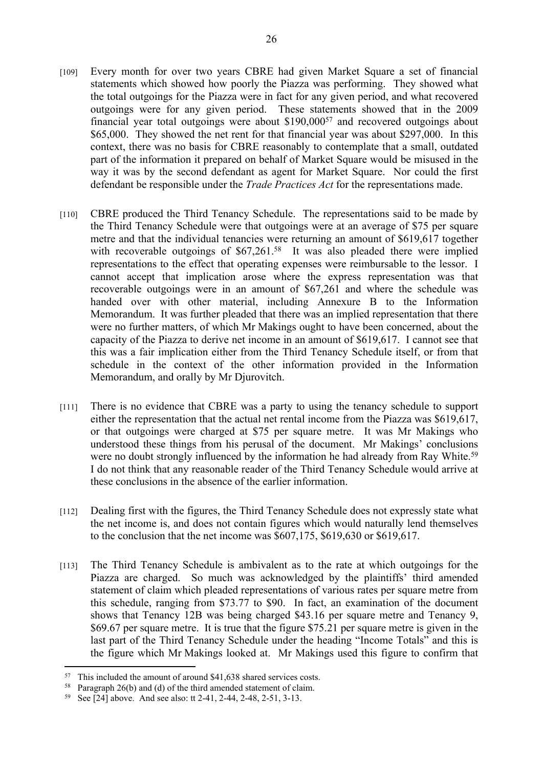- [109] Every month for over two years CBRE had given Market Square a set of financial statements which showed how poorly the Piazza was performing. They showed what the total outgoings for the Piazza were in fact for any given period, and what recovered outgoings were for any given period. These statements showed that in the 2009 financial year total outgoings were about \$190,000<sup>57</sup> and recovered outgoings about \$65,000. They showed the net rent for that financial year was about \$297,000. In this context, there was no basis for CBRE reasonably to contemplate that a small, outdated part of the information it prepared on behalf of Market Square would be misused in the way it was by the second defendant as agent for Market Square. Nor could the first defendant be responsible under the *Trade Practices Act* for the representations made.
- [110] CBRE produced the Third Tenancy Schedule. The representations said to be made by the Third Tenancy Schedule were that outgoings were at an average of \$75 per square metre and that the individual tenancies were returning an amount of \$619,617 together with recoverable outgoings of \$67,261.<sup>58</sup> It was also pleaded there were implied representations to the effect that operating expenses were reimbursable to the lessor. I cannot accept that implication arose where the express representation was that recoverable outgoings were in an amount of \$67,261 and where the schedule was handed over with other material, including Annexure B to the Information Memorandum. It was further pleaded that there was an implied representation that there were no further matters, of which Mr Makings ought to have been concerned, about the capacity of the Piazza to derive net income in an amount of \$619,617. I cannot see that this was a fair implication either from the Third Tenancy Schedule itself, or from that schedule in the context of the other information provided in the Information Memorandum, and orally by Mr Djurovitch.
- [111] There is no evidence that CBRE was a party to using the tenancy schedule to support either the representation that the actual net rental income from the Piazza was \$619,617, or that outgoings were charged at \$75 per square metre. It was Mr Makings who understood these things from his perusal of the document. Mr Makings' conclusions were no doubt strongly influenced by the information he had already from Ray White.<sup>59</sup> I do not think that any reasonable reader of the Third Tenancy Schedule would arrive at these conclusions in the absence of the earlier information.
- [112] Dealing first with the figures, the Third Tenancy Schedule does not expressly state what the net income is, and does not contain figures which would naturally lend themselves to the conclusion that the net income was \$607,175, \$619,630 or \$619,617.
- [113] The Third Tenancy Schedule is ambivalent as to the rate at which outgoings for the Piazza are charged. So much was acknowledged by the plaintiffs' third amended statement of claim which pleaded representations of various rates per square metre from this schedule, ranging from \$73.77 to \$90. In fact, an examination of the document shows that Tenancy 12B was being charged \$43.16 per square metre and Tenancy 9, \$69.67 per square metre. It is true that the figure \$75.21 per square metre is given in the last part of the Third Tenancy Schedule under the heading "Income Totals" and this is the figure which Mr Makings looked at. Mr Makings used this figure to confirm that

<sup>57</sup> This included the amount of around \$41,638 shared services costs.

<sup>58</sup> Paragraph 26(b) and (d) of the third amended statement of claim.

<sup>59</sup> See [24] above. And see also: tt 2-41, 2-44, 2-48, 2-51, 3-13.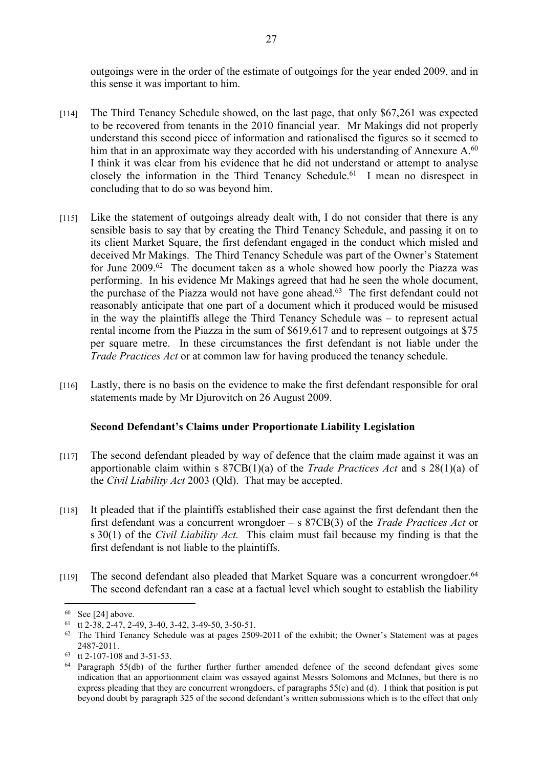outgoings were in the order of the estimate of outgoings for the year ended 2009, and in this sense it was important to him.

- [114] The Third Tenancy Schedule showed, on the last page, that only \$67,261 was expected to be recovered from tenants in the 2010 financial year. Mr Makings did not properly understand this second piece of information and rationalised the figures so it seemed to him that in an approximate way they accorded with his understanding of Annexure A.<sup>60</sup> I think it was clear from his evidence that he did not understand or attempt to analyse closely the information in the Third Tenancy Schedule.<sup>61</sup> I mean no disrespect in concluding that to do so was beyond him.
- [115] Like the statement of outgoings already dealt with, I do not consider that there is any sensible basis to say that by creating the Third Tenancy Schedule, and passing it on to its client Market Square, the first defendant engaged in the conduct which misled and deceived Mr Makings. The Third Tenancy Schedule was part of the Owner's Statement for June 2009.<sup>62</sup> The document taken as a whole showed how poorly the Piazza was performing. In his evidence Mr Makings agreed that had he seen the whole document, the purchase of the Piazza would not have gone ahead.<sup>63</sup> The first defendant could not reasonably anticipate that one part of a document which it produced would be misused in the way the plaintiffs allege the Third Tenancy Schedule was – to represent actual rental income from the Piazza in the sum of \$619,617 and to represent outgoings at \$75 per square metre. In these circumstances the first defendant is not liable under the *Trade Practices Act* or at common law for having produced the tenancy schedule.
- [116] Lastly, there is no basis on the evidence to make the first defendant responsible for oral statements made by Mr Djurovitch on 26 August 2009.

### **Second Defendant's Claims under Proportionate Liability Legislation**

- [117] The second defendant pleaded by way of defence that the claim made against it was an apportionable claim within s 87CB(1)(a) of the *Trade Practices Act* and s 28(1)(a) of the *Civil Liability Act* 2003 (Qld). That may be accepted.
- [118] It pleaded that if the plaintiffs established their case against the first defendant then the first defendant was a concurrent wrongdoer – s 87CB(3) of the *Trade Practices Act* or s 30(1) of the *Civil Liability Act.* This claim must fail because my finding is that the first defendant is not liable to the plaintiffs.
- [119] The second defendant also pleaded that Market Square was a concurrent wrongdoer.<sup>64</sup> The second defendant ran a case at a factual level which sought to establish the liability

 $60$  See [24] above.

<sup>61</sup> tt  $2-38$ ,  $2-47$ ,  $2-49$ ,  $3-40$ ,  $3-42$ ,  $3-49-50$ ,  $3-50-51$ .

<sup>62</sup> The Third Tenancy Schedule was at pages 2509-2011 of the exhibit; the Owner's Statement was at pages 2487-2011.

<sup>63</sup> tt 2-107-108 and 3-51-53.

Paragraph 55(db) of the further further further amended defence of the second defendant gives some indication that an apportionment claim was essayed against Messrs Solomons and McInnes, but there is no express pleading that they are concurrent wrongdoers, cf paragraphs 55(c) and (d). I think that position is put beyond doubt by paragraph 325 of the second defendant's written submissions which is to the effect that only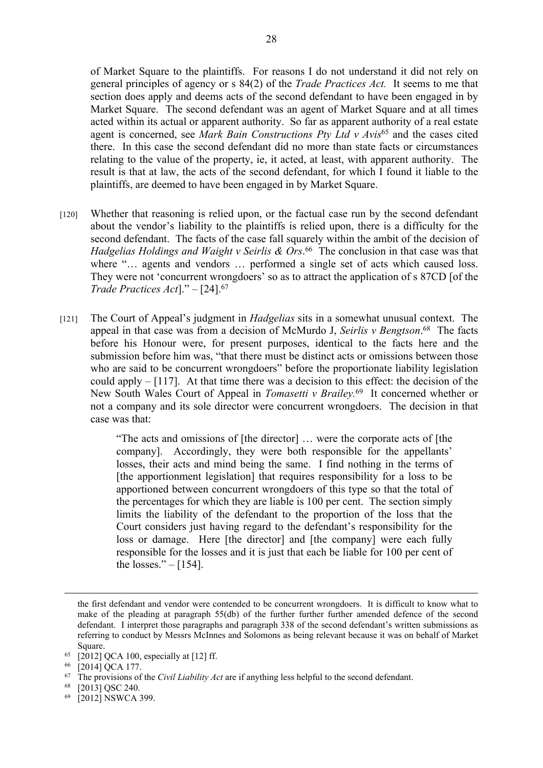of Market Square to the plaintiffs. For reasons I do not understand it did not rely on general principles of agency or s 84(2) of the *Trade Practices Act.* It seems to me that section does apply and deems acts of the second defendant to have been engaged in by Market Square. The second defendant was an agent of Market Square and at all times acted within its actual or apparent authority. So far as apparent authority of a real estate agent is concerned, see *Mark Bain Constructions Pty Ltd v Avis*<sup>65</sup> and the cases cited there. In this case the second defendant did no more than state facts or circumstances relating to the value of the property, ie, it acted, at least, with apparent authority. The result is that at law, the acts of the second defendant, for which I found it liable to the plaintiffs, are deemed to have been engaged in by Market Square.

- [120] Whether that reasoning is relied upon, or the factual case run by the second defendant about the vendor's liability to the plaintiffs is relied upon, there is a difficulty for the second defendant. The facts of the case fall squarely within the ambit of the decision of *Hadgelias Holdings and Waight v Seirlis & Ors*. <sup>66</sup> The conclusion in that case was that where "... agents and vendors ... performed a single set of acts which caused loss. They were not 'concurrent wrongdoers' so as to attract the application of s 87CD [of the *Trade Practices Act*]." – [24].<sup>67</sup>
- [121] The Court of Appeal's judgment in *Hadgelias* sits in a somewhat unusual context. The appeal in that case was from a decision of McMurdo J, *Seirlis v Bengtson*. <sup>68</sup> The facts before his Honour were, for present purposes, identical to the facts here and the submission before him was, "that there must be distinct acts or omissions between those who are said to be concurrent wrongdoers" before the proportionate liability legislation could apply – [117]. At that time there was a decision to this effect: the decision of the New South Wales Court of Appeal in *Tomasetti v Brailey.*<sup>69</sup> It concerned whether or not a company and its sole director were concurrent wrongdoers. The decision in that case was that:

"The acts and omissions of [the director] … were the corporate acts of [the company]. Accordingly, they were both responsible for the appellants' losses, their acts and mind being the same. I find nothing in the terms of [the apportionment legislation] that requires responsibility for a loss to be apportioned between concurrent wrongdoers of this type so that the total of the percentages for which they are liable is 100 per cent. The section simply limits the liability of the defendant to the proportion of the loss that the Court considers just having regard to the defendant's responsibility for the loss or damage. Here [the director] and [the company] were each fully responsible for the losses and it is just that each be liable for 100 per cent of the losses." $-$  [154].

the first defendant and vendor were contended to be concurrent wrongdoers. It is difficult to know what to make of the pleading at paragraph 55(db) of the further further further amended defence of the second defendant. I interpret those paragraphs and paragraph 338 of the second defendant's written submissions as referring to conduct by Messrs McInnes and Solomons as being relevant because it was on behalf of Market Square.

 $65$  [2012] QCA 100, especially at [12] ff.

<sup>66</sup> [2014] QCA 177.

<sup>67</sup> The provisions of the *Civil Liability Act* are if anything less helpful to the second defendant.

<sup>68</sup> [2013] QSC 240.

<sup>69</sup> [2012] NSWCA 399.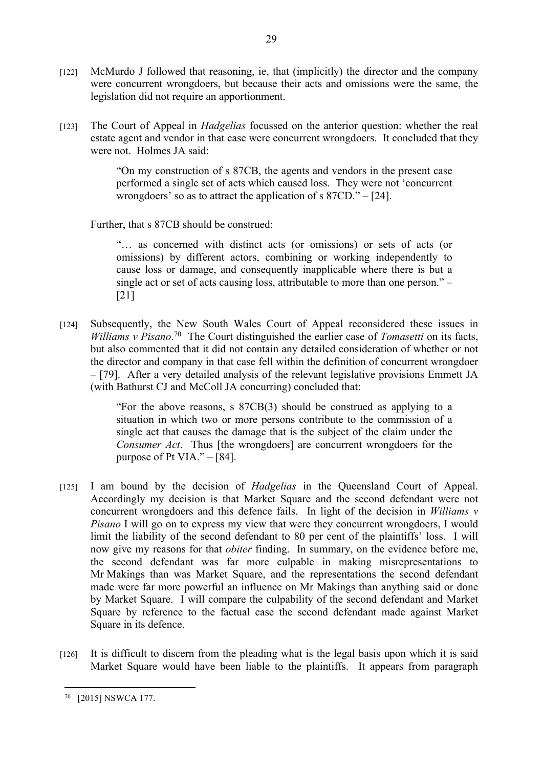[122] McMurdo J followed that reasoning, ie, that (implicitly) the director and the company were concurrent wrongdoers, but because their acts and omissions were the same, the legislation did not require an apportionment.

29

[123] The Court of Appeal in *Hadgelias* focussed on the anterior question: whether the real estate agent and vendor in that case were concurrent wrongdoers. It concluded that they were not. Holmes JA said:

> "On my construction of s 87CB, the agents and vendors in the present case performed a single set of acts which caused loss. They were not 'concurrent wrongdoers' so as to attract the application of s 87CD." – [24].

Further, that s 87CB should be construed:

"… as concerned with distinct acts (or omissions) or sets of acts (or omissions) by different actors, combining or working independently to cause loss or damage, and consequently inapplicable where there is but a single act or set of acts causing loss, attributable to more than one person." – [21]

[124] Subsequently, the New South Wales Court of Appeal reconsidered these issues in *Williams v Pisano*. <sup>70</sup> The Court distinguished the earlier case of *Tomasetti* on its facts, but also commented that it did not contain any detailed consideration of whether or not the director and company in that case fell within the definition of concurrent wrongdoer – [79]. After a very detailed analysis of the relevant legislative provisions Emmett JA (with Bathurst CJ and McColl JA concurring) concluded that:

> "For the above reasons, s 87CB(3) should be construed as applying to a situation in which two or more persons contribute to the commission of a single act that causes the damage that is the subject of the claim under the *Consumer Act*. Thus [the wrongdoers] are concurrent wrongdoers for the purpose of Pt VIA." $-$ [84].

- [125] I am bound by the decision of *Hadgelias* in the Queensland Court of Appeal. Accordingly my decision is that Market Square and the second defendant were not concurrent wrongdoers and this defence fails. In light of the decision in *Williams v Pisano* I will go on to express my view that were they concurrent wrongdoers, I would limit the liability of the second defendant to 80 per cent of the plaintiffs' loss. I will now give my reasons for that *obiter* finding. In summary, on the evidence before me, the second defendant was far more culpable in making misrepresentations to Mr Makings than was Market Square, and the representations the second defendant made were far more powerful an influence on Mr Makings than anything said or done by Market Square. I will compare the culpability of the second defendant and Market Square by reference to the factual case the second defendant made against Market Square in its defence.
- [126] It is difficult to discern from the pleading what is the legal basis upon which it is said Market Square would have been liable to the plaintiffs. It appears from paragraph

<sup>70</sup> [2015] NSWCA 177.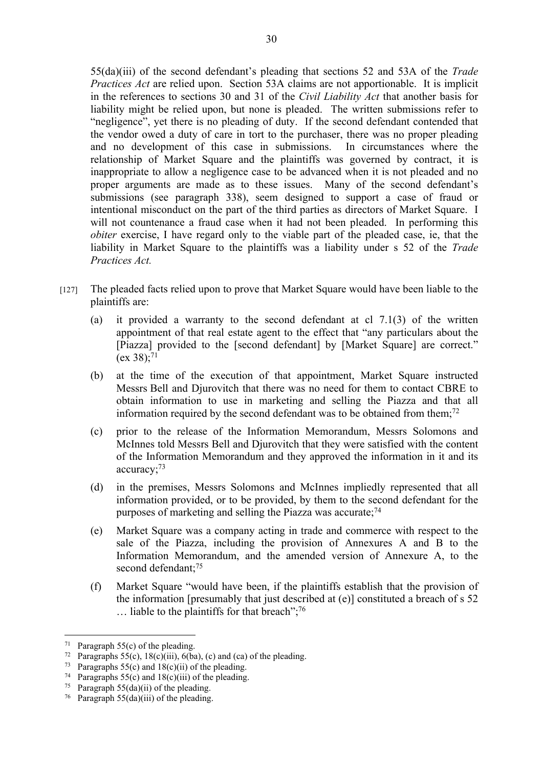55(da)(iii) of the second defendant's pleading that sections 52 and 53A of the *Trade Practices Act* are relied upon. Section 53A claims are not apportionable. It is implicit in the references to sections 30 and 31 of the *Civil Liability Act* that another basis for liability might be relied upon, but none is pleaded. The written submissions refer to "negligence", yet there is no pleading of duty. If the second defendant contended that the vendor owed a duty of care in tort to the purchaser, there was no proper pleading and no development of this case in submissions. In circumstances where the relationship of Market Square and the plaintiffs was governed by contract, it is inappropriate to allow a negligence case to be advanced when it is not pleaded and no proper arguments are made as to these issues. Many of the second defendant's submissions (see paragraph 338), seem designed to support a case of fraud or intentional misconduct on the part of the third parties as directors of Market Square. I will not countenance a fraud case when it had not been pleaded. In performing this *obiter* exercise, I have regard only to the viable part of the pleaded case, ie, that the liability in Market Square to the plaintiffs was a liability under s 52 of the *Trade Practices Act.* 

- [127] The pleaded facts relied upon to prove that Market Square would have been liable to the plaintiffs are:
	- (a) it provided a warranty to the second defendant at cl 7.1(3) of the written appointment of that real estate agent to the effect that "any particulars about the [Piazza] provided to the [second defendant] by [Market Square] are correct."  $(ex 38):^{71}$
	- (b) at the time of the execution of that appointment, Market Square instructed Messrs Bell and Djurovitch that there was no need for them to contact CBRE to obtain information to use in marketing and selling the Piazza and that all information required by the second defendant was to be obtained from them;<sup>72</sup>
	- (c) prior to the release of the Information Memorandum, Messrs Solomons and McInnes told Messrs Bell and Djurovitch that they were satisfied with the content of the Information Memorandum and they approved the information in it and its accuracy;<sup>73</sup>
	- (d) in the premises, Messrs Solomons and McInnes impliedly represented that all information provided, or to be provided, by them to the second defendant for the purposes of marketing and selling the Piazza was accurate; $^{74}$
	- (e) Market Square was a company acting in trade and commerce with respect to the sale of the Piazza, including the provision of Annexures A and B to the Information Memorandum, and the amended version of Annexure A, to the second defendant;<sup>75</sup>
	- (f) Market Square "would have been, if the plaintiffs establish that the provision of the information [presumably that just described at (e)] constituted a breach of s 52  $\ldots$  liable to the plaintiffs for that breach";<sup>76</sup>

<sup>&</sup>lt;sup>71</sup> Paragraph  $55(c)$  of the pleading.

<sup>&</sup>lt;sup>72</sup> Paragraphs 55(c), 18(c)(iii), 6(ba), (c) and (ca) of the pleading.

<sup>&</sup>lt;sup>73</sup> Paragraphs 55(c) and  $18(c)(ii)$  of the pleading.

<sup>&</sup>lt;sup>74</sup> Paragraphs 55(c) and 18(c)(iii) of the pleading.

<sup>&</sup>lt;sup>75</sup> Paragraph  $55(da)(ii)$  of the pleading.

<sup>&</sup>lt;sup>76</sup> Paragraph 55(da)(iii) of the pleading.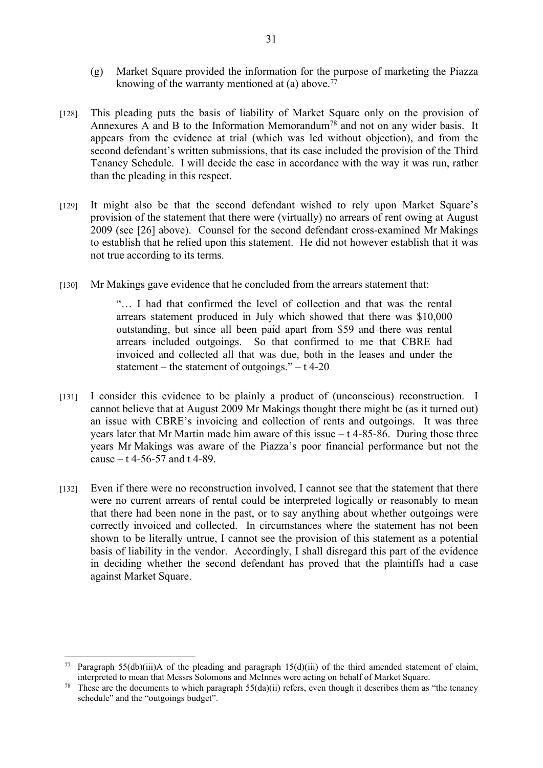- (g) Market Square provided the information for the purpose of marketing the Piazza knowing of the warranty mentioned at (a) above.<sup>77</sup>
- [128] This pleading puts the basis of liability of Market Square only on the provision of Annexures A and B to the Information Memorandum<sup>78</sup> and not on any wider basis. It appears from the evidence at trial (which was led without objection), and from the second defendant's written submissions, that its case included the provision of the Third Tenancy Schedule. I will decide the case in accordance with the way it was run, rather than the pleading in this respect.
- [129] It might also be that the second defendant wished to rely upon Market Square's provision of the statement that there were (virtually) no arrears of rent owing at August 2009 (see [26] above). Counsel for the second defendant cross-examined Mr Makings to establish that he relied upon this statement. He did not however establish that it was not true according to its terms.
- [130] Mr Makings gave evidence that he concluded from the arrears statement that:

"… I had that confirmed the level of collection and that was the rental arrears statement produced in July which showed that there was \$10,000 outstanding, but since all been paid apart from \$59 and there was rental arrears included outgoings. So that confirmed to me that CBRE had invoiced and collected all that was due, both in the leases and under the statement – the statement of outgoings."  $- t$  4-20

- [131] I consider this evidence to be plainly a product of (unconscious) reconstruction. I cannot believe that at August 2009 Mr Makings thought there might be (as it turned out) an issue with CBRE's invoicing and collection of rents and outgoings. It was three years later that Mr Martin made him aware of this issue  $- t$  4-85-86. During those three years Mr Makings was aware of the Piazza's poor financial performance but not the cause  $-$  t 4-56-57 and t 4-89.
- [132] Even if there were no reconstruction involved, I cannot see that the statement that there were no current arrears of rental could be interpreted logically or reasonably to mean that there had been none in the past, or to say anything about whether outgoings were correctly invoiced and collected. In circumstances where the statement has not been shown to be literally untrue, I cannot see the provision of this statement as a potential basis of liability in the vendor. Accordingly, I shall disregard this part of the evidence in deciding whether the second defendant has proved that the plaintiffs had a case against Market Square.

<sup>77</sup> Paragraph 55(db)(iii)A of the pleading and paragraph 15(d)(iii) of the third amended statement of claim, interpreted to mean that Messrs Solomons and McInnes were acting on behalf of Market Square.

<sup>&</sup>lt;sup>78</sup> These are the documents to which paragraph  $55(da)(ii)$  refers, even though it describes them as "the tenancy" schedule" and the "outgoings budget".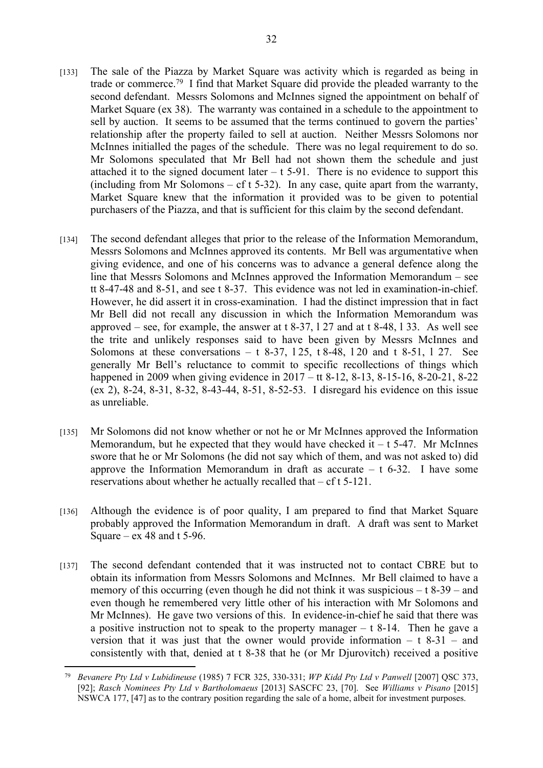- [133] The sale of the Piazza by Market Square was activity which is regarded as being in trade or commerce.<sup>79</sup> I find that Market Square did provide the pleaded warranty to the second defendant. Messrs Solomons and McInnes signed the appointment on behalf of Market Square (ex 38). The warranty was contained in a schedule to the appointment to sell by auction. It seems to be assumed that the terms continued to govern the parties' relationship after the property failed to sell at auction. Neither Messrs Solomons nor McInnes initialled the pages of the schedule. There was no legal requirement to do so. Mr Solomons speculated that Mr Bell had not shown them the schedule and just attached it to the signed document later  $- t 5-91$ . There is no evidence to support this (including from Mr Solomons – cf t 5-32). In any case, quite apart from the warranty, Market Square knew that the information it provided was to be given to potential purchasers of the Piazza, and that is sufficient for this claim by the second defendant.
- [134] The second defendant alleges that prior to the release of the Information Memorandum, Messrs Solomons and McInnes approved its contents. Mr Bell was argumentative when giving evidence, and one of his concerns was to advance a general defence along the line that Messrs Solomons and McInnes approved the Information Memorandum – see tt 8-47-48 and 8-51, and see t 8-37. This evidence was not led in examination-in-chief. However, he did assert it in cross-examination. I had the distinct impression that in fact Mr Bell did not recall any discussion in which the Information Memorandum was approved – see, for example, the answer at t 8-37, l 27 and at t 8-48, l 33. As well see the trite and unlikely responses said to have been given by Messrs McInnes and Solomons at these conversations  $-$  t 8-37, 125, t 8-48, 120 and t 8-51, 127. See generally Mr Bell's reluctance to commit to specific recollections of things which happened in 2009 when giving evidence in 2017 – tt 8-12, 8-13, 8-15-16, 8-20-21, 8-22 (ex 2), 8-24, 8-31, 8-32, 8-43-44, 8-51, 8-52-53. I disregard his evidence on this issue as unreliable.
- [135] Mr Solomons did not know whether or not he or Mr McInnes approved the Information Memorandum, but he expected that they would have checked it  $-$  t 5-47. Mr McInnes swore that he or Mr Solomons (he did not say which of them, and was not asked to) did approve the Information Memorandum in draft as accurate  $-$  t 6-32. I have some reservations about whether he actually recalled that – cf t 5-121.
- [136] Although the evidence is of poor quality, I am prepared to find that Market Square probably approved the Information Memorandum in draft. A draft was sent to Market Square –  $ex$  48 and t 5-96.
- [137] The second defendant contended that it was instructed not to contact CBRE but to obtain its information from Messrs Solomons and McInnes. Mr Bell claimed to have a memory of this occurring (even though he did not think it was suspicious  $-$  t 8-39 – and even though he remembered very little other of his interaction with Mr Solomons and Mr McInnes). He gave two versions of this. In evidence-in-chief he said that there was a positive instruction not to speak to the property manager  $- t 8-14$ . Then he gave a version that it was just that the owner would provide information  $- t 8-31 -$  and consistently with that, denied at t 8-38 that he (or Mr Djurovitch) received a positive

<sup>79</sup> *Bevanere Pty Ltd v Lubidineuse* (1985) 7 FCR 325, 330-331; *WP Kidd Pty Ltd v Panwell* [2007] QSC 373, [92]; *Rasch Nominees Pty Ltd v Bartholomaeus* [2013] SASCFC 23, [70]. See *Williams v Pisano* [2015] NSWCA 177, [47] as to the contrary position regarding the sale of a home, albeit for investment purposes.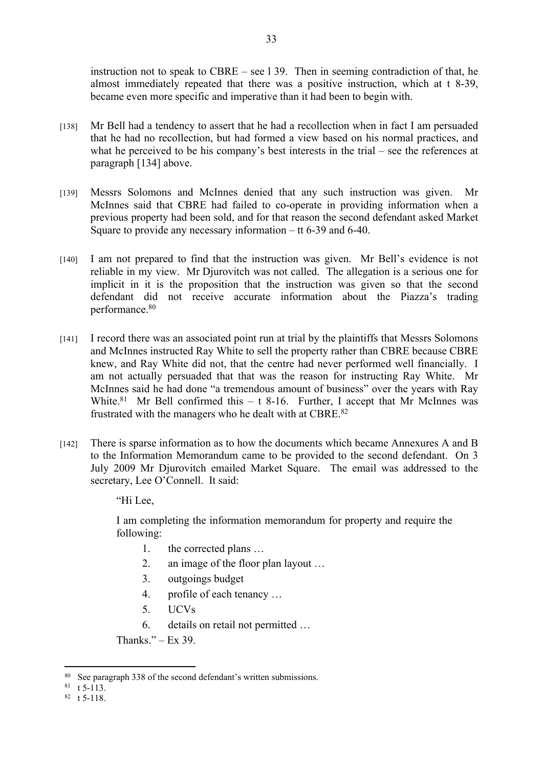instruction not to speak to CBRE – see l 39. Then in seeming contradiction of that, he almost immediately repeated that there was a positive instruction, which at t 8-39, became even more specific and imperative than it had been to begin with.

- [138] Mr Bell had a tendency to assert that he had a recollection when in fact I am persuaded that he had no recollection, but had formed a view based on his normal practices, and what he perceived to be his company's best interests in the trial – see the references at paragraph [134] above.
- [139] Messrs Solomons and McInnes denied that any such instruction was given. Mr McInnes said that CBRE had failed to co-operate in providing information when a previous property had been sold, and for that reason the second defendant asked Market Square to provide any necessary information – tt 6-39 and 6-40.
- [140] I am not prepared to find that the instruction was given. Mr Bell's evidence is not reliable in my view. Mr Djurovitch was not called. The allegation is a serious one for implicit in it is the proposition that the instruction was given so that the second defendant did not receive accurate information about the Piazza's trading performance.<sup>80</sup>
- [141] I record there was an associated point run at trial by the plaintiffs that Messrs Solomons and McInnes instructed Ray White to sell the property rather than CBRE because CBRE knew, and Ray White did not, that the centre had never performed well financially. I am not actually persuaded that that was the reason for instructing Ray White. Mr McInnes said he had done "a tremendous amount of business" over the years with Ray White.<sup>81</sup> Mr Bell confirmed this  $-$  t 8-16. Further, I accept that Mr McInnes was frustrated with the managers who he dealt with at CBRE.<sup>82</sup>
- [142] There is sparse information as to how the documents which became Annexures A and B to the Information Memorandum came to be provided to the second defendant. On 3 July 2009 Mr Djurovitch emailed Market Square. The email was addressed to the secretary, Lee O'Connell. It said:

"Hi Lee,

I am completing the information memorandum for property and require the following:

- 1. the corrected plans …
- 2. an image of the floor plan layout …
- 3. outgoings budget
- 4. profile of each tenancy …
- 5. UCVs
- 6. details on retail not permitted …

Thanks."  $-$  Ex 39.

<sup>80</sup> See paragraph 338 of the second defendant's written submissions.

 $81 \text{ t } 5-\overline{113}.$ 

<sup>82</sup> t 5-118.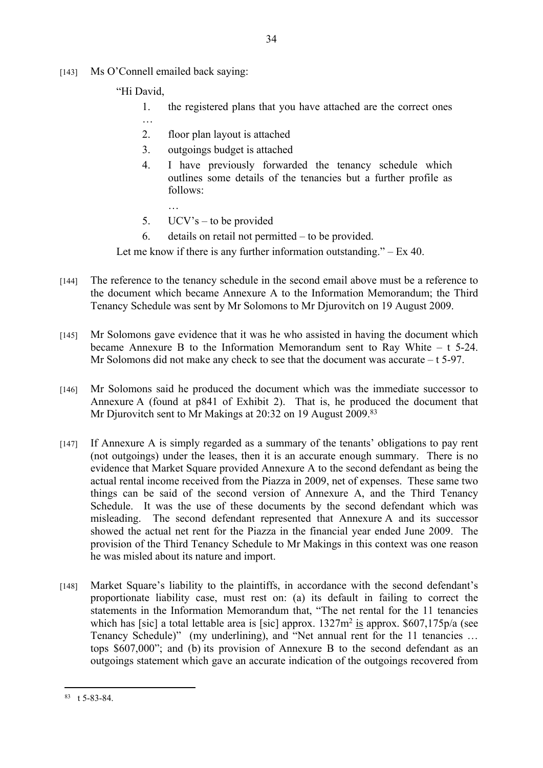- [143] Ms O'Connell emailed back saying:
	- "Hi David,

…

- 1. the registered plans that you have attached are the correct ones
- 2. floor plan layout is attached
- 3. outgoings budget is attached
- 4. I have previously forwarded the tenancy schedule which outlines some details of the tenancies but a further profile as follows:
- 5. UCV's to be provided

…

6. details on retail not permitted – to be provided.

Let me know if there is any further information outstanding."  $-$  Ex 40.

- [144] The reference to the tenancy schedule in the second email above must be a reference to the document which became Annexure A to the Information Memorandum; the Third Tenancy Schedule was sent by Mr Solomons to Mr Djurovitch on 19 August 2009.
- [145] Mr Solomons gave evidence that it was he who assisted in having the document which became Annexure B to the Information Memorandum sent to Ray White – t 5-24. Mr Solomons did not make any check to see that the document was accurate – t 5-97.
- [146] Mr Solomons said he produced the document which was the immediate successor to Annexure A (found at p841 of Exhibit 2). That is, he produced the document that Mr Djurovitch sent to Mr Makings at 20:32 on 19 August 2009.<sup>83</sup>
- [147] If Annexure A is simply regarded as a summary of the tenants' obligations to pay rent (not outgoings) under the leases, then it is an accurate enough summary. There is no evidence that Market Square provided Annexure A to the second defendant as being the actual rental income received from the Piazza in 2009, net of expenses. These same two things can be said of the second version of Annexure A, and the Third Tenancy Schedule. It was the use of these documents by the second defendant which was misleading. The second defendant represented that Annexure A and its successor showed the actual net rent for the Piazza in the financial year ended June 2009. The provision of the Third Tenancy Schedule to Mr Makings in this context was one reason he was misled about its nature and import.
- [148] Market Square's liability to the plaintiffs, in accordance with the second defendant's proportionate liability case, must rest on: (a) its default in failing to correct the statements in the Information Memorandum that, "The net rental for the 11 tenancies which has [sic] a total lettable area is [sic] approx.  $1327m^2$  is approx. \$607,175p/a (see Tenancy Schedule)" (my underlining), and "Net annual rent for the 11 tenancies ... tops \$607,000"; and (b) its provision of Annexure B to the second defendant as an outgoings statement which gave an accurate indication of the outgoings recovered from

<sup>83</sup> t 5-83-84.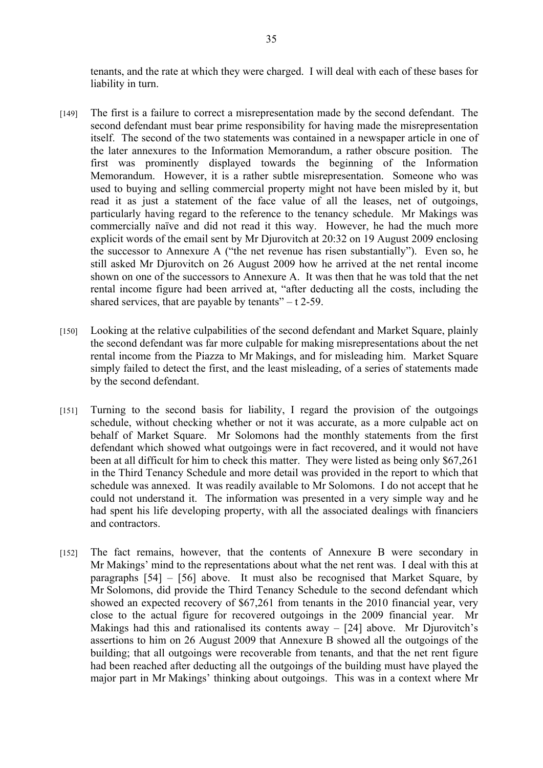tenants, and the rate at which they were charged. I will deal with each of these bases for liability in turn.

- [149] The first is a failure to correct a misrepresentation made by the second defendant. The second defendant must bear prime responsibility for having made the misrepresentation itself. The second of the two statements was contained in a newspaper article in one of the later annexures to the Information Memorandum, a rather obscure position. The first was prominently displayed towards the beginning of the Information Memorandum. However, it is a rather subtle misrepresentation. Someone who was used to buying and selling commercial property might not have been misled by it, but read it as just a statement of the face value of all the leases, net of outgoings, particularly having regard to the reference to the tenancy schedule. Mr Makings was commercially naïve and did not read it this way. However, he had the much more explicit words of the email sent by Mr Djurovitch at 20:32 on 19 August 2009 enclosing the successor to Annexure A ("the net revenue has risen substantially"). Even so, he still asked Mr Djurovitch on 26 August 2009 how he arrived at the net rental income shown on one of the successors to Annexure A. It was then that he was told that the net rental income figure had been arrived at, "after deducting all the costs, including the shared services, that are payable by tenants" $-$  t 2-59.
- [150] Looking at the relative culpabilities of the second defendant and Market Square, plainly the second defendant was far more culpable for making misrepresentations about the net rental income from the Piazza to Mr Makings, and for misleading him. Market Square simply failed to detect the first, and the least misleading, of a series of statements made by the second defendant.
- [151] Turning to the second basis for liability, I regard the provision of the outgoings schedule, without checking whether or not it was accurate, as a more culpable act on behalf of Market Square. Mr Solomons had the monthly statements from the first defendant which showed what outgoings were in fact recovered, and it would not have been at all difficult for him to check this matter. They were listed as being only \$67,261 in the Third Tenancy Schedule and more detail was provided in the report to which that schedule was annexed. It was readily available to Mr Solomons. I do not accept that he could not understand it. The information was presented in a very simple way and he had spent his life developing property, with all the associated dealings with financiers and contractors.
- [152] The fact remains, however, that the contents of Annexure B were secondary in Mr Makings' mind to the representations about what the net rent was. I deal with this at paragraphs [54] – [56] above. It must also be recognised that Market Square, by Mr Solomons, did provide the Third Tenancy Schedule to the second defendant which showed an expected recovery of \$67,261 from tenants in the 2010 financial year, very close to the actual figure for recovered outgoings in the 2009 financial year. Mr Makings had this and rationalised its contents away  $-$  [24] above. Mr Djurovitch's assertions to him on 26 August 2009 that Annexure B showed all the outgoings of the building; that all outgoings were recoverable from tenants, and that the net rent figure had been reached after deducting all the outgoings of the building must have played the major part in Mr Makings' thinking about outgoings. This was in a context where Mr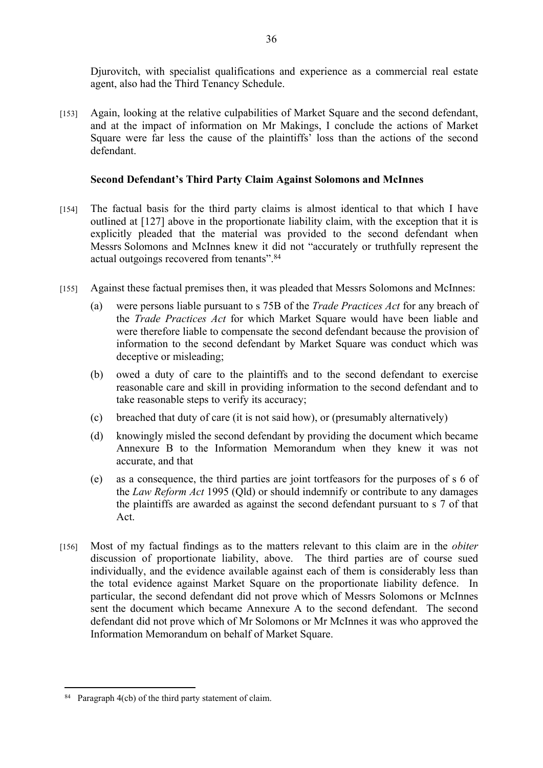Djurovitch, with specialist qualifications and experience as a commercial real estate agent, also had the Third Tenancy Schedule.

[153] Again, looking at the relative culpabilities of Market Square and the second defendant, and at the impact of information on Mr Makings, I conclude the actions of Market Square were far less the cause of the plaintiffs' loss than the actions of the second defendant.

36

## **Second Defendant's Third Party Claim Against Solomons and McInnes**

- [154] The factual basis for the third party claims is almost identical to that which I have outlined at [127] above in the proportionate liability claim, with the exception that it is explicitly pleaded that the material was provided to the second defendant when Messrs Solomons and McInnes knew it did not "accurately or truthfully represent the actual outgoings recovered from tenants".<sup>84</sup>
- [155] Against these factual premises then, it was pleaded that Messrs Solomons and McInnes:
	- (a) were persons liable pursuant to s 75B of the *Trade Practices Act* for any breach of the *Trade Practices Act* for which Market Square would have been liable and were therefore liable to compensate the second defendant because the provision of information to the second defendant by Market Square was conduct which was deceptive or misleading;
	- (b) owed a duty of care to the plaintiffs and to the second defendant to exercise reasonable care and skill in providing information to the second defendant and to take reasonable steps to verify its accuracy;
	- (c) breached that duty of care (it is not said how), or (presumably alternatively)
	- (d) knowingly misled the second defendant by providing the document which became Annexure B to the Information Memorandum when they knew it was not accurate, and that
	- (e) as a consequence, the third parties are joint tortfeasors for the purposes of s 6 of the *Law Reform Act* 1995 (Qld) or should indemnify or contribute to any damages the plaintiffs are awarded as against the second defendant pursuant to s 7 of that Act.
- [156] Most of my factual findings as to the matters relevant to this claim are in the *obiter* discussion of proportionate liability, above. The third parties are of course sued individually, and the evidence available against each of them is considerably less than the total evidence against Market Square on the proportionate liability defence. In particular, the second defendant did not prove which of Messrs Solomons or McInnes sent the document which became Annexure A to the second defendant. The second defendant did not prove which of Mr Solomons or Mr McInnes it was who approved the Information Memorandum on behalf of Market Square.

<sup>84</sup> Paragraph 4(cb) of the third party statement of claim.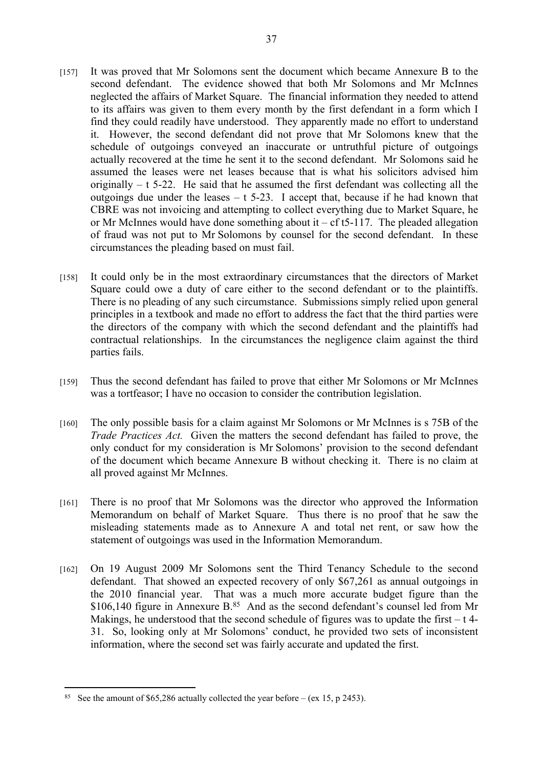- [157] It was proved that Mr Solomons sent the document which became Annexure B to the second defendant. The evidence showed that both Mr Solomons and Mr McInnes neglected the affairs of Market Square. The financial information they needed to attend to its affairs was given to them every month by the first defendant in a form which I find they could readily have understood. They apparently made no effort to understand it. However, the second defendant did not prove that Mr Solomons knew that the schedule of outgoings conveyed an inaccurate or untruthful picture of outgoings actually recovered at the time he sent it to the second defendant. Mr Solomons said he assumed the leases were net leases because that is what his solicitors advised him originally  $- t 5-22$ . He said that he assumed the first defendant was collecting all the outgoings due under the leases  $- t$  5-23. I accept that, because if he had known that CBRE was not invoicing and attempting to collect everything due to Market Square, he or Mr McInnes would have done something about it – cf t5-117. The pleaded allegation of fraud was not put to Mr Solomons by counsel for the second defendant. In these circumstances the pleading based on must fail.
- [158] It could only be in the most extraordinary circumstances that the directors of Market Square could owe a duty of care either to the second defendant or to the plaintiffs. There is no pleading of any such circumstance. Submissions simply relied upon general principles in a textbook and made no effort to address the fact that the third parties were the directors of the company with which the second defendant and the plaintiffs had contractual relationships. In the circumstances the negligence claim against the third parties fails.
- [159] Thus the second defendant has failed to prove that either Mr Solomons or Mr McInnes was a tortfeasor; I have no occasion to consider the contribution legislation.
- [160] The only possible basis for a claim against Mr Solomons or Mr McInnes is s 75B of the *Trade Practices Act.* Given the matters the second defendant has failed to prove, the only conduct for my consideration is Mr Solomons' provision to the second defendant of the document which became Annexure B without checking it. There is no claim at all proved against Mr McInnes.
- [161] There is no proof that Mr Solomons was the director who approved the Information Memorandum on behalf of Market Square. Thus there is no proof that he saw the misleading statements made as to Annexure A and total net rent, or saw how the statement of outgoings was used in the Information Memorandum.
- [162] On 19 August 2009 Mr Solomons sent the Third Tenancy Schedule to the second defendant. That showed an expected recovery of only \$67,261 as annual outgoings in the 2010 financial year. That was a much more accurate budget figure than the \$106,140 figure in Annexure B.<sup>85</sup> And as the second defendant's counsel led from Mr Makings, he understood that the second schedule of figures was to update the first  $- t$  4-31. So, looking only at Mr Solomons' conduct, he provided two sets of inconsistent information, where the second set was fairly accurate and updated the first.

<sup>&</sup>lt;sup>85</sup> See the amount of \$65,286 actually collected the year before – (ex 15, p 2453).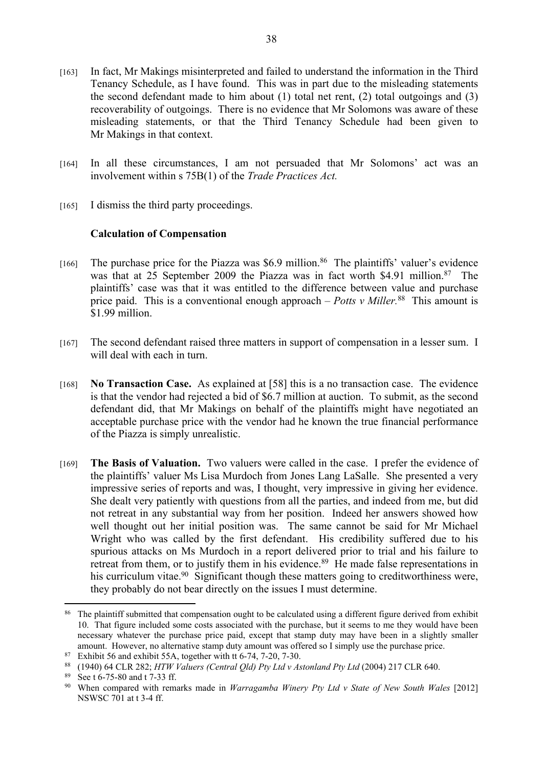- [163] In fact, Mr Makings misinterpreted and failed to understand the information in the Third Tenancy Schedule, as I have found. This was in part due to the misleading statements the second defendant made to him about (1) total net rent, (2) total outgoings and (3) recoverability of outgoings. There is no evidence that Mr Solomons was aware of these misleading statements, or that the Third Tenancy Schedule had been given to Mr Makings in that context.
- [164] In all these circumstances, I am not persuaded that Mr Solomons' act was an involvement within s 75B(1) of the *Trade Practices Act.*
- [165] I dismiss the third party proceedings.

#### **Calculation of Compensation**

- [166] The purchase price for the Piazza was \$6.9 million.<sup>86</sup> The plaintiffs' valuer's evidence was that at  $25$  September 2009 the Piazza was in fact worth \$4.91 million.<sup>87</sup> The plaintiffs' case was that it was entitled to the difference between value and purchase price paid. This is a conventional enough approach – *Potts v Miller*.<sup>88</sup> This amount is \$1.99 million.
- [167] The second defendant raised three matters in support of compensation in a lesser sum. I will deal with each in turn.
- [168] **No Transaction Case.** As explained at [58] this is a no transaction case. The evidence is that the vendor had rejected a bid of \$6.7 million at auction. To submit, as the second defendant did, that Mr Makings on behalf of the plaintiffs might have negotiated an acceptable purchase price with the vendor had he known the true financial performance of the Piazza is simply unrealistic.
- [169] **The Basis of Valuation.** Two valuers were called in the case. I prefer the evidence of the plaintiffs' valuer Ms Lisa Murdoch from Jones Lang LaSalle. She presented a very impressive series of reports and was, I thought, very impressive in giving her evidence. She dealt very patiently with questions from all the parties, and indeed from me, but did not retreat in any substantial way from her position. Indeed her answers showed how well thought out her initial position was. The same cannot be said for Mr Michael Wright who was called by the first defendant. His credibility suffered due to his spurious attacks on Ms Murdoch in a report delivered prior to trial and his failure to retreat from them, or to justify them in his evidence.<sup>89</sup> He made false representations in his curriculum vitae.<sup>90</sup> Significant though these matters going to creditworthiness were, they probably do not bear directly on the issues I must determine.

<sup>&</sup>lt;sup>86</sup> The plaintiff submitted that compensation ought to be calculated using a different figure derived from exhibit 10. That figure included some costs associated with the purchase, but it seems to me they would have been necessary whatever the purchase price paid, except that stamp duty may have been in a slightly smaller amount. However, no alternative stamp duty amount was offered so I simply use the purchase price.

<sup>87</sup> Exhibit 56 and exhibit 55A, together with tt 6-74, 7-20, 7-30.

<sup>88</sup> (1940) 64 CLR 282; *HTW Valuers (Central Qld) Pty Ltd v Astonland Pty Ltd* (2004) 217 CLR 640.

<sup>89</sup> See t 6-75-80 and t 7-33 ff.

<sup>90</sup> When compared with remarks made in *Warragamba Winery Pty Ltd v State of New South Wales* [2012] NSWSC 701 at t 3-4 ff.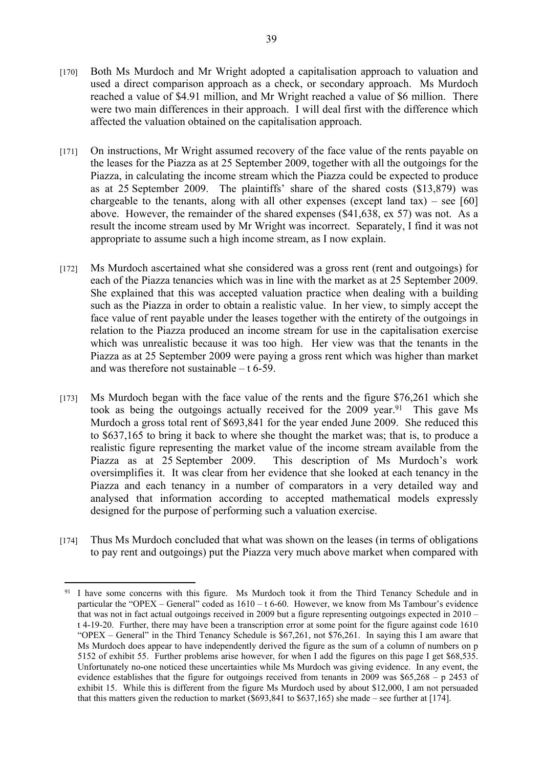- [170] Both Ms Murdoch and Mr Wright adopted a capitalisation approach to valuation and used a direct comparison approach as a check, or secondary approach. Ms Murdoch reached a value of \$4.91 million, and Mr Wright reached a value of \$6 million. There were two main differences in their approach. I will deal first with the difference which affected the valuation obtained on the capitalisation approach.
- [171] On instructions, Mr Wright assumed recovery of the face value of the rents payable on the leases for the Piazza as at 25 September 2009, together with all the outgoings for the Piazza, in calculating the income stream which the Piazza could be expected to produce as at 25 September 2009. The plaintiffs' share of the shared costs (\$13,879) was chargeable to the tenants, along with all other expenses (except land  $tax$ ) – see [60] above. However, the remainder of the shared expenses (\$41,638, ex 57) was not. As a result the income stream used by Mr Wright was incorrect. Separately, I find it was not appropriate to assume such a high income stream, as I now explain.
- [172] Ms Murdoch ascertained what she considered was a gross rent (rent and outgoings) for each of the Piazza tenancies which was in line with the market as at 25 September 2009. She explained that this was accepted valuation practice when dealing with a building such as the Piazza in order to obtain a realistic value. In her view, to simply accept the face value of rent payable under the leases together with the entirety of the outgoings in relation to the Piazza produced an income stream for use in the capitalisation exercise which was unrealistic because it was too high. Her view was that the tenants in the Piazza as at 25 September 2009 were paying a gross rent which was higher than market and was therefore not sustainable – t 6-59.
- [173] Ms Murdoch began with the face value of the rents and the figure \$76,261 which she took as being the outgoings actually received for the  $2009$  year.<sup>91</sup> This gave Ms Murdoch a gross total rent of \$693,841 for the year ended June 2009. She reduced this to \$637,165 to bring it back to where she thought the market was; that is, to produce a realistic figure representing the market value of the income stream available from the Piazza as at 25 September 2009. This description of Ms Murdoch's work oversimplifies it. It was clear from her evidence that she looked at each tenancy in the Piazza and each tenancy in a number of comparators in a very detailed way and analysed that information according to accepted mathematical models expressly designed for the purpose of performing such a valuation exercise.
- [174] Thus Ms Murdoch concluded that what was shown on the leases (in terms of obligations to pay rent and outgoings) put the Piazza very much above market when compared with

<sup>&</sup>lt;sup>91</sup> I have some concerns with this figure. Ms Murdoch took it from the Third Tenancy Schedule and in particular the "OPEX – General" coded as 1610 – t 6-60. However, we know from Ms Tambour's evidence that was not in fact actual outgoings received in 2009 but a figure representing outgoings expected in 2010 – t 4-19-20. Further, there may have been a transcription error at some point for the figure against code 1610 "OPEX – General" in the Third Tenancy Schedule is \$67,261, not \$76,261. In saying this I am aware that Ms Murdoch does appear to have independently derived the figure as the sum of a column of numbers on p 5152 of exhibit 55. Further problems arise however, for when I add the figures on this page I get \$68,535. Unfortunately no-one noticed these uncertainties while Ms Murdoch was giving evidence. In any event, the evidence establishes that the figure for outgoings received from tenants in 2009 was \$65,268 – p 2453 of exhibit 15. While this is different from the figure Ms Murdoch used by about \$12,000, I am not persuaded that this matters given the reduction to market (\$693,841 to \$637,165) she made – see further at [174].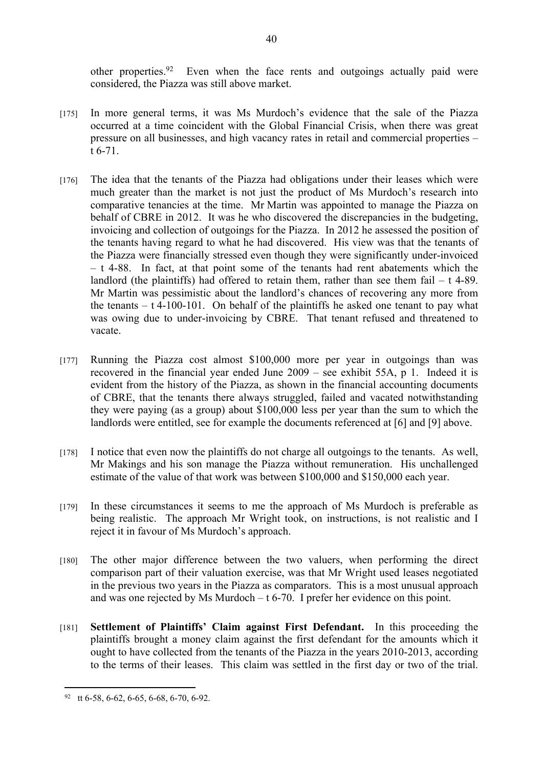other properties.<sup>92</sup> Even when the face rents and outgoings actually paid were considered, the Piazza was still above market.

- [175] In more general terms, it was Ms Murdoch's evidence that the sale of the Piazza occurred at a time coincident with the Global Financial Crisis, when there was great pressure on all businesses, and high vacancy rates in retail and commercial properties – t 6-71.
- [176] The idea that the tenants of the Piazza had obligations under their leases which were much greater than the market is not just the product of Ms Murdoch's research into comparative tenancies at the time. Mr Martin was appointed to manage the Piazza on behalf of CBRE in 2012. It was he who discovered the discrepancies in the budgeting, invoicing and collection of outgoings for the Piazza. In 2012 he assessed the position of the tenants having regard to what he had discovered. His view was that the tenants of the Piazza were financially stressed even though they were significantly under-invoiced – t 4-88. In fact, at that point some of the tenants had rent abatements which the landlord (the plaintiffs) had offered to retain them, rather than see them fail  $- t$  4-89. Mr Martin was pessimistic about the landlord's chances of recovering any more from the tenants  $- t 4-100-101$ . On behalf of the plaintiffs he asked one tenant to pay what was owing due to under-invoicing by CBRE. That tenant refused and threatened to vacate.
- [177] Running the Piazza cost almost \$100,000 more per year in outgoings than was recovered in the financial year ended June 2009 – see exhibit 55A, p 1. Indeed it is evident from the history of the Piazza, as shown in the financial accounting documents of CBRE, that the tenants there always struggled, failed and vacated notwithstanding they were paying (as a group) about \$100,000 less per year than the sum to which the landlords were entitled, see for example the documents referenced at [6] and [9] above.
- [178] I notice that even now the plaintiffs do not charge all outgoings to the tenants. As well, Mr Makings and his son manage the Piazza without remuneration. His unchallenged estimate of the value of that work was between \$100,000 and \$150,000 each year.
- [179] In these circumstances it seems to me the approach of Ms Murdoch is preferable as being realistic. The approach Mr Wright took, on instructions, is not realistic and I reject it in favour of Ms Murdoch's approach.
- [180] The other major difference between the two valuers, when performing the direct comparison part of their valuation exercise, was that Mr Wright used leases negotiated in the previous two years in the Piazza as comparators. This is a most unusual approach and was one rejected by Ms Murdoch  $-$  t 6-70. I prefer her evidence on this point.
- [181] **Settlement of Plaintiffs' Claim against First Defendant.** In this proceeding the plaintiffs brought a money claim against the first defendant for the amounts which it ought to have collected from the tenants of the Piazza in the years 2010-2013, according to the terms of their leases. This claim was settled in the first day or two of the trial.

40

<sup>92</sup> tt 6-58, 6-62, 6-65, 6-68, 6-70, 6-92.